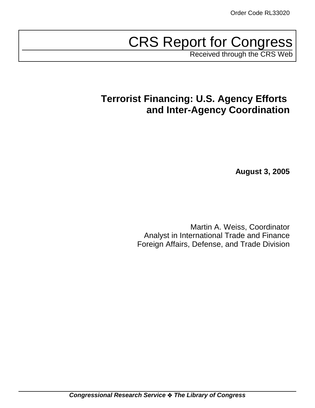# CRS Report for Congress

Received through the CRS Web

## **Terrorist Financing: U.S. Agency Efforts and Inter-Agency Coordination**

**August 3, 2005**

Martin A. Weiss, Coordinator Analyst in International Trade and Finance Foreign Affairs, Defense, and Trade Division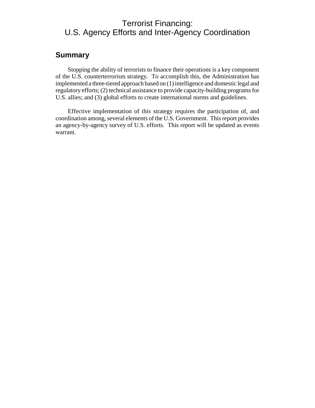## Terrorist Financing: U.S. Agency Efforts and Inter-Agency Coordination

### **Summary**

Stopping the ability of terrorists to finance their operations is a key component of the U.S. counterterrorism strategy. To accomplish this, the Administration has implemented a three-tiered approach based on (1) intelligence and domestic legal and regulatory efforts; (2) technical assistance to provide capacity-building programs for U.S. allies; and (3) global efforts to create international norms and guidelines.

Effective implementation of this strategy requires the participation of, and coordination among, several elements of the U.S. Government. This report provides an agency-by-agency survey of U.S. efforts. This report will be updated as events warrant.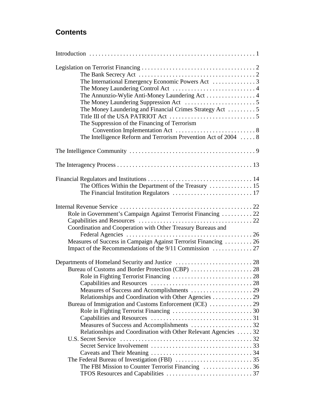## **Contents**

| The Annunzio-Wylie Anti-Money Laundering Act 4                  |  |
|-----------------------------------------------------------------|--|
|                                                                 |  |
| The Money Laundering and Financial Crimes Strategy Act  5       |  |
|                                                                 |  |
| The Suppression of the Financing of Terrorism                   |  |
|                                                                 |  |
| The Intelligence Reform and Terrorism Prevention Act of 2004  8 |  |
|                                                                 |  |
|                                                                 |  |
|                                                                 |  |
|                                                                 |  |
|                                                                 |  |
| The Offices Within the Department of the Treasury  15           |  |
|                                                                 |  |
|                                                                 |  |
| Role in Government's Campaign Against Terrorist Financing  22   |  |
|                                                                 |  |
| Coordination and Cooperation with Other Treasury Bureaus and    |  |
|                                                                 |  |
| Measures of Success in Campaign Against Terrorist Financing  26 |  |
|                                                                 |  |
|                                                                 |  |
|                                                                 |  |
|                                                                 |  |
|                                                                 |  |
|                                                                 |  |
|                                                                 |  |
| Relationships and Coordination with Other Agencies 29           |  |
| Bureau of Immigration and Customs Enforcement (ICE)  29         |  |
|                                                                 |  |
|                                                                 |  |
|                                                                 |  |
| Relationships and Coordination with Other Relevant Agencies  32 |  |
| U.S. Secret Service                                             |  |
|                                                                 |  |
|                                                                 |  |
|                                                                 |  |
| The FBI Mission to Counter Terrorist Financing 36               |  |
|                                                                 |  |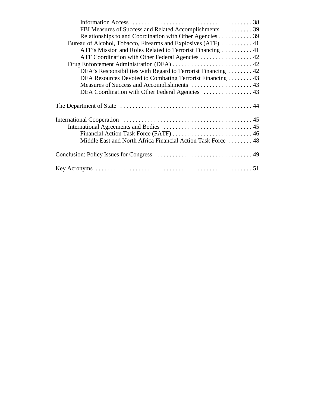| FBI Measures of Success and Related Accomplishments  39       |  |
|---------------------------------------------------------------|--|
| Relationships to and Coordination with Other Agencies 39      |  |
| Bureau of Alcohol, Tobacco, Firearms and Explosives (ATF)  41 |  |
| ATF's Mission and Roles Related to Terrorist Financing 41     |  |
| ATF Coordination with Other Federal Agencies  42              |  |
|                                                               |  |
| DEA's Responsibilities with Regard to Terrorist Financing  42 |  |
| DEA Resources Devoted to Combating Terrorist Financing 43     |  |
| Measures of Success and Accomplishments  43                   |  |
| DEA Coordination with Other Federal Agencies  43              |  |
|                                                               |  |
|                                                               |  |
|                                                               |  |
|                                                               |  |
| Middle East and North Africa Financial Action Task Force  48  |  |
|                                                               |  |
|                                                               |  |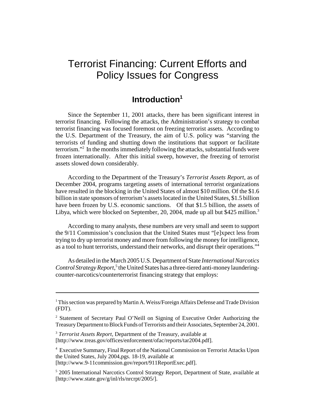## Terrorist Financing: Current Efforts and Policy Issues for Congress

## **Introduction1**

Since the September 11, 2001 attacks, there has been significant interest in terrorist financing. Following the attacks, the Administration's strategy to combat terrorist financing was focused foremost on freezing terrorist assets. According to the U.S. Department of the Treasury, the aim of U.S. policy was "starving the terrorists of funding and shutting down the institutions that support or facilitate terrorism."2 In the months immediately following the attacks, substantial funds were frozen internationally. After this initial sweep, however, the freezing of terrorist assets slowed down considerably.

According to the Department of the Treasury's *Terrorist Assets Report*, as of December 2004, programs targeting assets of international terrorist organizations have resulted in the blocking in the United States of almost \$10 million. Of the \$1.6 billion in state sponsors of terrorism's assets located in the United States, \$1.5 billion have been frozen by U.S. economic sanctions. Of that \$1.5 billion, the assets of Libya, which were blocked on September, 20, 2004, made up all but \$425 million.<sup>3</sup>

According to many analysts, these numbers are very small and seem to support the 9/11 Commission's conclusion that the United States must "[e]xpect less from trying to dry up terrorist money and more from following the money for intelligence, as a tool to hunt terrorists, understand their networks, and disrupt their operations."4

As detailed in the March 2005 U.S. Department of State *International Narcotics* Control Strategy Report,<sup>5</sup> the United States has a three-tiered anti-money launderingcounter-narcotics/counterterrorist financing strategy that employs:

<sup>3</sup> *Terrorist Assets Report*, Department of the Treasury, available at [http://www.treas.gov/offices/enforcement/ofac/reports/tar2004.pdf].

4 Executive Summary, Final Report of the National Commission on Terrorist Attacks Upon the United States, July 2004,pgs. 18-19, available at [http://www.9-11commission.gov/report/911ReportExec.pdf].

<sup>&</sup>lt;sup>1</sup> This section was prepared by Martin A. Weiss/Foreign Affairs Defense and Trade Division (FDT).

<sup>&</sup>lt;sup>2</sup> Statement of Secretary Paul O'Neill on Signing of Executive Order Authorizing the Treasury Department to Block Funds of Terrorists and their Associates, September 24, 2001.

<sup>&</sup>lt;sup>5</sup> 2005 International Narcotics Control Strategy Report, Department of State, available at [http://www.state.gov/g/inl/rls/nrcrpt/2005/].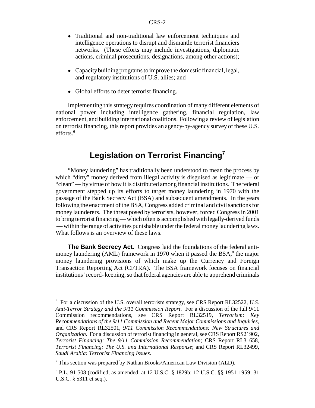- ! Traditional and non-traditional law enforcement techniques and intelligence operations to disrupt and dismantle terrorist financiers networks. (These efforts may include investigations, diplomatic actions, criminal prosecutions, designations, among other actions);
- Capacity building programs to improve the domestic financial, legal, and regulatory institutions of U.S. allies; and
- Global efforts to deter terrorist financing.

Implementing this strategy requires coordination of many different elements of national power including intelligence gathering, financial regulation, law enforcement, and building international coalitions. Following a review of legislation on terrorist financing, this report provides an agency-by-agency survey of these U.S. efforts.<sup>6</sup>

## **Legislation on Terrorist Financing<sup>7</sup>**

"Money laundering" has traditionally been understood to mean the process by which "dirty" money derived from illegal activity is disguised as legitimate — or "clean" — by virtue of how it is distributed among financial institutions. The federal government stepped up its efforts to target money laundering in 1970 with the passage of the Bank Secrecy Act (BSA) and subsequent amendments. In the years following the enactment of the BSA, Congress added criminal and civil sanctions for money launderers. The threat posed by terrorists, however, forced Congress in 2001 to bring terrorist financing — which often is accomplished with legally-derived funds — within the range of activities punishable under the federal money laundering laws. What follows is an overview of these laws.

**The Bank Secrecy Act.** Congress laid the foundations of the federal antimoney laundering (AML) framework in 1970 when it passed the BSA,<sup>8</sup> the major money laundering provisions of which make up the Currency and Foreign Transaction Reporting Act (CFTRA). The BSA framework focuses on financial institutions' record- keeping, so that federal agencies are able to apprehend criminals

<sup>6</sup> For a discussion of the U.S. overall terrorism strategy, see CRS Report RL32522, *U.S. Anti-Terror Strategy and the 9/11 Commission Report*. For a discussion of the full 9/11 Commission recommendations, see CRS Report RL32519, *Terrorism: Key Recommendations of the 9/11 Commission and Recent Major Commissions and Inquiries*, and CRS Report RL32501, *9/11 Commission Recommendations: New Structures and Organization*. For a discussion of terrorist financing in general, see CRS Report RS21902, *Terrorist Financing: The 9/11 Commission Recommendation*; CRS Report RL31658, *Terrorist Financing: The U.S. and International Response*; and CRS Report RL32499, *Saudi Arabia: Terrorist Financing Issues*.

<sup>&</sup>lt;sup>7</sup> This section was prepared by Nathan Brooks/American Law Division (ALD).

<sup>8</sup> P.L. 91-508 (codified, as amended, at 12 U.S.C. § 1829b; 12 U.S.C. §§ 1951-1959; 31 U.S.C. § 5311 et seq.).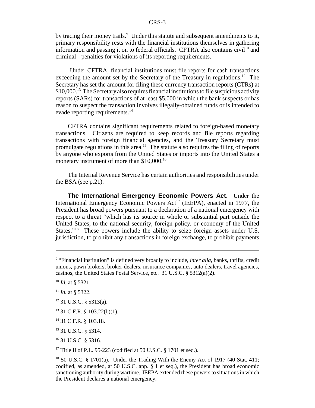by tracing their money trails.<sup>9</sup> Under this statute and subsequent amendments to it, primary responsibility rests with the financial institutions themselves in gathering information and passing it on to federal officials. CFTRA also contains  $\text{civil}^{10}$  and  $c$ riminal<sup>11</sup> penalties for violations of its reporting requirements.

 Under CFTRA, financial institutions must file reports for cash transactions exceeding the amount set by the Secretary of the Treasury in regulations.<sup>12</sup> The Secretary has set the amount for filing these currency transaction reports (CTRs) at  $$10,000$ <sup>13</sup>. The Secretary also requires financial institutions to file suspicious activity reports (SARs) for transactions of at least \$5,000 in which the bank suspects or has reason to suspect the transaction involves illegally-obtained funds or is intended to evade reporting requirements.<sup>14</sup>

CFTRA contains significant requirements related to foreign-based monetary transactions. Citizens are required to keep records and file reports regarding transactions with foreign financial agencies, and the Treasury Secretary must promulgate regulations in this area.<sup>15</sup> The statute also requires the filing of reports by anyone who exports from the United States or imports into the United States a monetary instrument of more than \$10,000.<sup>16</sup>

The Internal Revenue Service has certain authorities and responsibilities under the BSA (see p.21).

**The International Emergency Economic Powers Act.** Under the International Emergency Economic Powers  $Act<sup>17</sup>$  (IEEPA), enacted in 1977, the President has broad powers pursuant to a declaration of a national emergency with respect to a threat "which has its source in whole or substantial part outside the United States, to the national security, foreign policy, or economy of the United States."<sup>18</sup> These powers include the ability to seize foreign assets under U.S. jurisdiction, to prohibit any transactions in foreign exchange, to prohibit payments

- $12$  31 U.S.C. § 5313(a).
- 13 31 C.F.R. § 103.22(b)(1).
- 14 31 C.F.R. § 103.18.
- 15 31 U.S.C. § 5314.
- 16 31 U.S.C. § 5316.

<sup>17</sup> Title II of P.L. 95-223 (codified at 50 U.S.C. § 1701 et seq.).

<sup>&</sup>lt;sup>9</sup> "Financial institution" is defined very broadly to include, *inter alia*, banks, thrifts, credit unions, pawn brokers, broker-dealers, insurance companies, auto dealers, travel agencies, casinos, the United States Postal Service, etc. 31 U.S.C. § 5312(a)(2).

<sup>10</sup> *Id.* at § 5321.

<sup>11</sup> *Id.* at § 5322.

<sup>&</sup>lt;sup>18</sup> 50 U.S.C. § 1701(a). Under the Trading With the Enemy Act of 1917 (40 Stat. 411; codified, as amended, at 50 U.S.C. app. § 1 et seq.), the President has broad economic sanctioning authority during wartime. IEEPA extended these powers to situations in which the President declares a national emergency.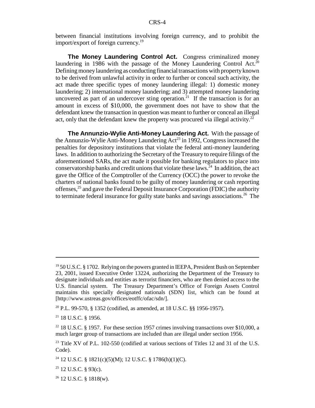between financial institutions involving foreign currency, and to prohibit the import/export of foreign currency.<sup>19</sup>

**The Money Laundering Control Act.** Congress criminalized money laundering in 1986 with the passage of the Money Laundering Control Act.<sup>20</sup> Defining money laundering as conducting financial transactions with property known to be derived from unlawful activity in order to further or conceal such activity, the act made three specific types of money laundering illegal: 1) domestic money laundering; 2) international money laundering; and 3) attempted money laundering uncovered as part of an undercover sting operation.<sup>21</sup> If the transaction is for an amount in excess of \$10,000, the government does not have to show that the defendant knew the transaction in question was meant to further or conceal an illegal act, only that the defendant knew the property was procured via illegal activity.<sup>22</sup>

**The Annunzio-Wylie Anti-Money Laundering Act.** With the passage of the Annunzio-Wylie Anti-Money Laundering  $Act^{23}$  in 1992, Congress increased the penalties for depository institutions that violate the federal anti-money laundering laws. In addition to authorizing the Secretary of the Treasury to require filings of the aforementioned SARs, the act made it possible for banking regulators to place into conservatorship banks and credit unions that violate these laws.24 In addition, the act gave the Office of the Comptroller of the Currency (OCC) the power to revoke the charters of national banks found to be guilty of money laundering or cash reporting offenses,25 and gave the Federal Deposit Insurance Corporation (FDIC) the authority to terminate federal insurance for guilty state banks and savings associations.<sup>26</sup> The

 $19\,50$  U.S.C. § 1702. Relying on the powers granted in IEEPA, President Bush on September 23, 2001, issued Executive Order 13224, authorizing the Department of the Treasury to designate individuals and entities as terrorist financiers, who are then denied access to the U.S. financial system. The Treasury Department's Office of Foreign Assets Control maintains this specially designated nationals (SDN) list, which can be found at [http://www.ustreas.gov/offices/eotffc/ofac/sdn/].

<sup>&</sup>lt;sup>20</sup> P.L. 99-570, § 1352 (codified, as amended, at 18 U.S.C. §§ 1956-1957).

<sup>21 18</sup> U.S.C. § 1956.

 $22$  18 U.S.C. § 1957. For these section 1957 crimes involving transactions over \$10,000, a much larger group of transactions are included than are illegal under section 1956.

 $23$  Title XV of P.L. 102-550 (codified at various sections of Titles 12 and 31 of the U.S. Code).

<sup>&</sup>lt;sup>24</sup> 12 U.S.C. § 1821(c)(5)(M); 12 U.S.C. § 1786(h)(1)(C).

 $25$  12 U.S.C. § 93(c).

 $26$  12 U.S.C. § 1818(w).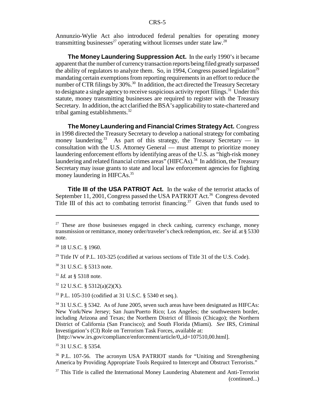Annunzio-Wylie Act also introduced federal penalties for operating money transmitting businesses<sup>27</sup> operating without licenses under state law.<sup>28</sup>

**The Money Laundering Suppression Act.** In the early 1990's it became apparent that the number of currency transaction reports being filed greatly surpassed the ability of regulators to analyze them. So, in 1994, Congress passed legislation<sup>29</sup> mandating certain exemptions from reporting requirements in an effort to reduce the number of CTR filings by 30%.<sup>30</sup> In addition, the act directed the Treasury Secretary to designate a single agency to receive suspicious activity report filings.<sup>31</sup> Under this statute, money transmitting businesses are required to register with the Treasury Secretary. In addition, the act clarified the BSA's applicability to state-chartered and tribal gaming establishments. $32$ 

**The Money Laundering and Financial Crimes Strategy Act.** Congress in 1998 directed the Treasury Secretary to develop a national strategy for combating money laundering.<sup>33</sup> As part of this strategy, the Treasury Secretary  $-$  in consultation with the U.S. Attorney General — must attempt to prioritize money laundering enforcement efforts by identifying areas of the U.S. as "high-risk money laundering and related financial crimes areas" (HIFCAs).<sup>34</sup> In addition, the Treasury Secretary may issue grants to state and local law enforcement agencies for fighting money laundering in HIFCAs.<sup>35</sup>

**Title III of the USA PATRIOT Act.** In the wake of the terrorist attacks of September 11, 2001, Congress passed the USA PATRIOT Act.<sup>36</sup> Congress devoted Title III of this act to combating terrorist financing.<sup>37</sup> Given that funds used to

 $29$  Title IV of P.L. 103-325 (codified at various sections of Title 31 of the U.S. Code).

<sup>30</sup> 31 U.S.C. § 5313 note.

<sup>31</sup> *Id.* at § 5318 note.

 $32$  12 U.S.C. § 5312(a)(2)(X).

33 P.L. 105-310 (codified at 31 U.S.C. § 5340 et seq.).

34 31 U.S.C. § 5342. As of June 2005, seven such areas have been designated as HIFCAs: New York/New Jersey; San Juan/Puerto Rico; Los Angeles; the southwestern border, including Arizona and Texas; the Northern District of Illinois (Chicago); the Northern District of California (San Francisco); and South Florida (Miami). *See* IRS, Criminal Investigation's (CI) Role on Terrorism Task Forces, available at:

[http://www.irs.gov/compliance/enforcement/article/0,,id=107510,00.html].

35 31 U.S.C. § 5354.

36 P.L. 107-56. The acronym USA PATRIOT stands for "Uniting and Strengthening America by Providing Appropriate Tools Required to Intercept and Obstruct Terrorists."

<sup>37</sup> This Title is called the International Money Laundering Abatement and Anti-Terrorist (continued...)

 $27$  These are those businesses engaged in check cashing, currency exchange, money transmission or remittance, money order/traveler's check redemption, etc. *See id.* at § 5330 note.

<sup>28 18</sup> U.S.C. § 1960.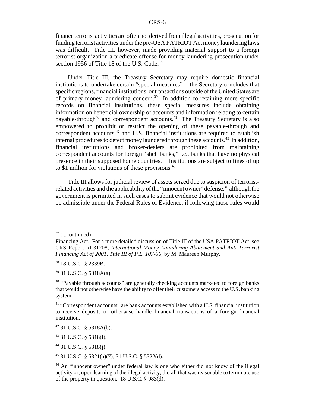finance terrorist activities are often not derived from illegal activities, prosecution for funding terrorist activities under the pre-USA PATRIOT Act money laundering laws was difficult. Title III, however, made providing material support to a foreign terrorist organization a predicate offense for money laundering prosecution under section 1956 of Title 18 of the U.S. Code.<sup>38</sup>

Under Title III, the Treasury Secretary may require domestic financial institutions to undertake certain "special measures" if the Secretary concludes that specific regions, financial institutions, or transactions outside of the United States are of primary money laundering concern.39 In addition to retaining more specific records on financial institutions, these special measures include obtaining information on beneficial ownership of accounts and information relating to certain payable-through<sup>40</sup> and correspondent accounts.<sup>41</sup> The Treasury Secretary is also empowered to prohibit or restrict the opening of these payable-through and correspondent accounts, $42$  and U.S. financial institutions are required to establish internal procedures to detect money laundered through these accounts.<sup>43</sup> In addition, financial institutions and broker-dealers are prohibited from maintaining correspondent accounts for foreign "shell banks," i.e., banks that have no physical presence in their supposed home countries.44 Institutions are subject to fines of up to \$1 million for violations of these provisions.<sup>45</sup>

Title III allows for judicial review of assets seized due to suspicion of terroristrelated activities and the applicability of the "innocent owner" defense, <sup>46</sup> although the government is permitted in such cases to submit evidence that would not otherwise be admissible under the Federal Rules of Evidence, if following those rules would

38 18 U.S.C. § 2339B.

39 31 U.S.C. § 5318A(a).

43 31 U.S.C. § 5318(i).

44 31 U.S.C. § 5318(j).

45 31 U.S.C. § 5321(a)(7); 31 U.S.C. § 5322(d).

 $37$  (...continued)

Financing Act. For a more detailed discussion of Title III of the USA PATRIOT Act, see CRS Report RL31208, *International Money Laundering Abatement and Anti-Terrorist Financing Act of 2001, Title III of P.L. 107-56*, by M. Maureen Murphy.

<sup>&</sup>lt;sup>40</sup> "Payable through accounts" are generally checking accounts marketed to foreign banks that would not otherwise have the ability to offer their customers access to the U.S. banking system.

<sup>&</sup>lt;sup>41</sup> "Correspondent accounts" are bank accounts established with a U.S. financial institution to receive deposits or otherwise handle financial transactions of a foreign financial institution.

<sup>42 31</sup> U.S.C. § 5318A(b).

<sup>46</sup> An "innocent owner" under federal law is one who either did not know of the illegal activity or, upon learning of the illegal activity, did all that was reasonable to terminate use of the property in question. 18 U.S.C. § 983(d).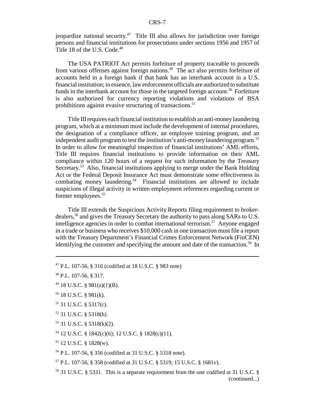jeopardize national security.<sup>47</sup> Title III also allows for jurisdiction over foreign persons and financial institutions for prosecutions under sections 1956 and 1957 of Title 18 of the U.S. Code.<sup>48</sup>

The USA PATRIOT Act permits forfeiture of property traceable to proceeds from various offenses against foreign nations.<sup>49</sup> The act also permits forfeiture of accounts held in a foreign bank if that bank has an interbank account in a U.S. financial institution; in essence, law enforcement officials are authorized to substitute funds in the interbank account for those in the targeted foreign account.<sup>50</sup> Forfeiture is also authorized for currency reporting violations and violations of BSA prohibitions against evasive structuring of transactions.<sup>51</sup>

Title III requires each financial institution to establish an anti-money laundering program, which at a minimum must include the development of internal procedures, the designation of a compliance officer, an employee training program, and an independent audit program to test the institution's anti-money laundering program.<sup>52</sup> In order to allow for meaningful inspection of financial institutions' AML efforts, Title III requires financial institutions to provide information on their AML compliance within 120 hours of a request for such information by the Treasury Secretary.<sup>53</sup> Also, financial institutions applying to merge under the Bank Holding Act or the Federal Deposit Insurance Act must demonstrate some effectiveness in combating money laundering.<sup>54</sup> Financial institutions are allowed to include suspicions of illegal activity in written employment references regarding current or former employees.<sup>55</sup>

Title III extends the Suspicious Activity Reports filing requirement to brokerdealers,56 and gives the Treasury Secretary the authority to pass along SARs to U.S. intelligence agencies in order to combat international terrorism.<sup>57</sup> Anyone engaged in a trade or business who receives \$10,000 cash in one transaction must file a report with the Treasury Department's Financial Crimes Enforcement Network (FinCEN) identifying the customer and specifying the amount and date of the transaction.<sup>58</sup> In

- 50 18 U.S.C. § 981(k).
- $51$  31 U.S.C. § 5317(c).
- 52 31 U.S.C. § 5318(h).
- 53 31 U.S.C. § 5318(k)(2).
- 54 12 U.S.C. § 1842(c)(6); 12 U.S.C. § 1828(c)(11).
- 55 12 U.S.C. § 1828(w).

56 P.L. 107-56, § 356 (codified at 31 U.S.C. § 5318 note).

- 57 P.L. 107-56, § 358 (codified at 31 U.S.C. § 5319; 15 U.S.C. § 1681v).
- 58 31 U.S.C. § 5331. This is a separate requirement from the one codified at 31 U.S.C. § (continued...)

<sup>47</sup> P.L. 107-56, § 316 (codified at 18 U.S.C. § 983 note)

<sup>48</sup> P.L. 107-56, § 317.

 $^{49}$  18 U.S.C. § 981(a)(1)(B).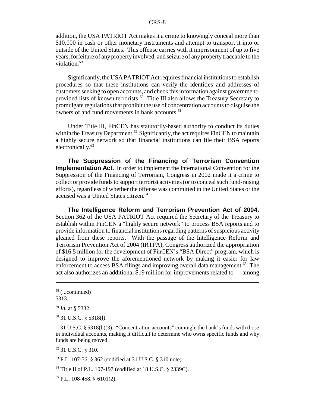addition, the USA PATRIOT Act makes it a crime to knowingly conceal more than \$10,000 in cash or other monetary instruments and attempt to transport it into or outside of the United States. This offense carries with it imprisonment of up to five years, forfeiture of any property involved, and seizure of any property traceable to the violation.59

Significantly, the USA PATRIOT Act requires financial institutions to establish procedures so that these institutions can verify the identities and addresses of customers seeking to open accounts, and check this information against governmentprovided lists of known terrorists.<sup>60</sup> Title III also allows the Treasury Secretary to promulgate regulations that prohibit the use of concentration accounts to disguise the owners of and fund movements in bank accounts.<sup>61</sup>

Under Title III, FinCEN has statutorily-based authority to conduct its duties within the Treasury Department.<sup>62</sup> Significantly, the act requires FinCEN to maintain a highly secure network so that financial institutions can file their BSA reports electronically.<sup>63</sup>

**The Suppression of the Financing of Terrorism Convention Implementation Act.** In order to implement the International Convention for the Suppression of the Financing of Terrorism, Congress in 2002 made it a crime to collect or provide funds to support terrorist activities (or to conceal such fund-raising efforts), regardless of whether the offense was committed in the United States or the accused was a United States citizen.<sup>64</sup>

**The Intelligence Reform and Terrorism Prevention Act of 2004.** Section 362 of the USA PATRIOT Act required the Secretary of the Treasury to establish within FinCEN a "highly secure network" to process BSA reports and to provide information to financial institutions regarding patterns of suspicious activity gleaned from these reports. With the passage of the Intelligence Reform and Terrorism Prevention Act of 2004 (IRTPA), Congress authorized the appropriation of \$16.5 million for the development of FinCEN's "BSA Direct" program, which is designed to improve the aforementioned network by making it easier for law enforcement to access BSA filings and improving overall data management.<sup>65</sup> The act also authorizes an additional \$19 million for improvements related to — among

 $62$  31 U.S.C.  $8$  310.

63 P.L. 107-56, § 362 (codified at 31 U.S.C. § 310 note).

64 Title II of P.L. 107-197 (codified at 18 U.S.C. § 2339C).

 $65$  P.L. 108-458, § 6101(2).

<sup>58 (...</sup>continued)

<sup>5313.</sup>

<sup>59</sup> *Id.* at § 5332.

<sup>60 31</sup> U.S.C. § 5318(l).

 $61$  31 U.S.C. § 5318(h)(3). "Concentration accounts" comingle the bank's funds with those in individual accounts, making it difficult to determine who owns specific funds and why funds are being moved.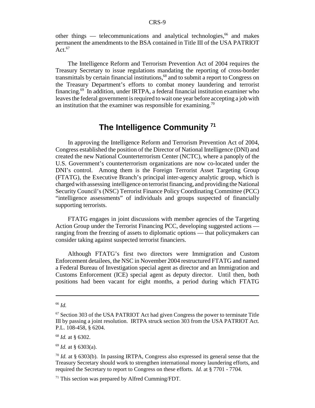other things — telecommunications and analytical technologies,  $66$  and makes permanent the amendments to the BSA contained in Title III of the USA PATRIOT Act. $67$ 

The Intelligence Reform and Terrorism Prevention Act of 2004 requires the Treasury Secretary to issue regulations mandating the reporting of cross-border transmittals by certain financial institutions,<sup>68</sup> and to submit a report to Congress on the Treasury Department's efforts to combat money laundering and terrorist financing.69 In addition, under IRTPA, a federal financial institution examiner who leaves the federal government is required to wait one year before accepting a job with an institution that the examiner was responsible for examining.<sup>70</sup>

## **The Intelligence Community 71**

In approving the Intelligence Reform and Terrorism Prevention Act of 2004, Congress established the position of the Director of National Intelligence (DNI) and created the new National Counterterrorism Center (NCTC), where a panoply of the U.S. Government's counterterrorism organizations are now co-located under the DNI's control. Among them is the Foreign Terrorist Asset Targeting Group (FTATG), the Executive Branch's principal inter-agency analytic group, which is charged with assessing intelligence on terrorist financing, and providing the National Security Council's (NSC) Terrorist Finance Policy Coordinating Committee (PCC) "intelligence assessments" of individuals and groups suspected of financially supporting terrorists.

FTATG engages in joint discussions with member agencies of the Targeting Action Group under the Terrorist Financing PCC, developing suggested actions ranging from the freezing of assets to diplomatic options — that policymakers can consider taking against suspected terrorist financiers.

Although FTATG's first two directors were Immigration and Custom Enforcement detailees, the NSC in November 2004 restructured FTATG and named a Federal Bureau of Investigation special agent as director and an Immigration and Customs Enforcement (ICE) special agent as deputy director. Until then, both positions had been vacant for eight months, a period during which FTATG

<sup>68</sup> *Id.* at § 6302.

<sup>69</sup> *Id.* at § 6303(a).

<sup>66</sup> *Id.*

<sup>&</sup>lt;sup>67</sup> Section 303 of the USA PATRIOT Act had given Congress the power to terminate Title III by passing a joint resolution. IRTPA struck section 303 from the USA PATRIOT Act. P.L. 108-458, § 6204.

<sup>70</sup> *Id.* at § 6303(b). In passing IRTPA, Congress also expressed its general sense that the Treasury Secretary should work to strengthen international money laundering efforts, and required the Secretary to report to Congress on these efforts. *Id.* at § 7701 - 7704.

 $71$  This section was prepared by Alfred Cumming/FDT.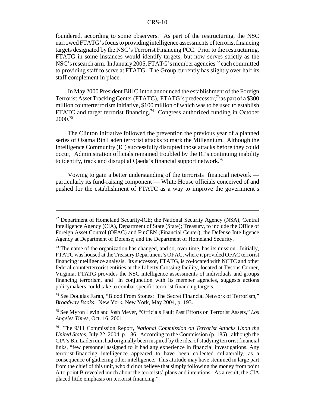foundered, according to some observers. As part of the restructuring, the NSC narrowed FTATG's focus to providing intelligence assessments of terrorist financing targets designated by the NSC's Terrorist Financing PCC. Prior to the restructuring, FTATG in some instances would identify targets, but now serves strictly as the NSC's research arm. In January 2005, FTATG's member agencies  $^{72}$  each committed to providing staff to serve at FTATG. The Group currently has slightly over half its staff complement in place.

In May 2000 President Bill Clinton announced the establishment of the Foreign Terrorist Asset Tracking Center (FTATC), FTATG's predecessor,<sup>73</sup> as part of a \$300 million counterterrorism initiative, \$100 million of which was to be used to establish FTATC and target terrorist financing.<sup>74</sup> Congress authorized funding in October 2000.75

The Clinton initiative followed the prevention the previous year of a planned series of Osama Bin Laden terrorist attacks to mark the Millennium. Although the Intelligence Community (IC) successfully disrupted those attacks before they could occur, Administration officials remained troubled by the IC's continuing inability to identify, track and disrupt al Qaeda's financial support network.<sup>76</sup>

Vowing to gain a better understanding of the terrorists' financial network particularly its fund-raising component — White House officials conceived of and pushed for the establishment of FTATC as a way to improve the government's

74 See Douglas Farah, "Blood From Stones: The Secret Financial Network of Terrorism," *Broadway Books*, New York, New York, May 2004, p. 193.

75 See Myron Levin and Josh Meyer, "Officials Fault Past Efforts on Terrorist Assets," *Los Angeles Times*, Oct. 16, 2001.

<sup>72</sup> Department of Homeland Security-ICE; the National Security Agency (NSA), Central Intelligence Agency (CIA), Department of State (State); Treasury, to include the Office of Foreign Asset Control (OFAC) and FinCEN (Financial Center); the Defense Intelligence Agency at Department of Defense; and the Department of Homeland Security.

 $<sup>73</sup>$  The name of the organization has changed, and so, over time, has its mission. Initially,</sup> FTATC was housed at the Treasury Department's OFAC, where it provided OFAC terrorist financing intelligence analysis. Its successor, FTATG, is co-located with NCTC and other federal counterterrorist entities at the Liberty Crossing facility, located at Tysons Corner, Virginia, FTATG provides the NSC intelligence assessments of individuals and groups financing terrorism, and in conjunction with its member agencies, suggests actions policymakers could take to combat specific terrorist financing targets.

<sup>76</sup> The 9/11 Commission Report, *National Commission on Terrorist Attacks Upon the United States*, July 22, 2004, p. 186. According to the Commission (p. 185) , although the CIA's Bin Laden unit had originally been inspired by the idea of studying terrorist financial links, "few personnel assigned to it had any experience in financial investigations. Any terrorist-financing intelligence appeared to have been collected collaterally, as a consequence of gathering other intelligence. This attitude may have stemmed in large part from the chief of this unit, who did not believe that simply following the money from point A to point B revealed much about the terrorists' plans and intentions. As a result, the CIA placed little emphasis on terrorist financing."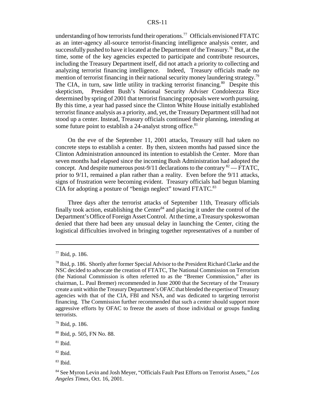understanding of how terrorists fund their operations.<sup>77</sup> Officials envisioned FTATC as an inter-agency all-source terrorist-financing intelligence analysis center, and successfully pushed to have it located at the Department of the Treasury.<sup>78</sup> But, at the time, some of the key agencies expected to participate and contribute resources, including the Treasury Department itself, did not attach a priority to collecting and analyzing terrorist financing intelligence. Indeed, Treasury officials made no mention of terrorist financing in their national security money laundering strategy.<sup>79</sup> The CIA, in turn, saw little utility in tracking terrorist financing.<sup>80</sup> Despite this skepticism, President Bush's National Security Adviser Condoleezza Rice determined by spring of 2001 that terrorist financing proposals were worth pursuing. By this time, a year had passed since the Clinton White House initially established terrorist finance analysis as a priority, and, yet, the Treasury Department still had not stood up a center. Instead, Treasury officials continued their planning, intending at some future point to establish a 24-analyst strong office.<sup>81</sup>

On the eve of the September 11, 2001 attacks, Treasury still had taken no concrete steps to establish a center. By then, sixteen months had passed since the Clinton Administration announced its intention to establish the Center. More than seven months had elapsed since the incoming Bush Administration had adopted the concept. And despite numerous post-9/11 declarations to the contrary  $^{82}$  — FTATC, prior to 9/11, remained a plan rather than a reality. Even before the 9/11 attacks, signs of frustration were becoming evident. Treasury officials had begun blaming CIA for adopting a posture of "benign neglect" toward FTATC.<sup>83</sup>

Three days after the terrorist attacks of September 11th, Treasury officials finally took action, establishing the Center $84$  and placing it under the control of the Department's Office of Foreign Asset Control. At the time, a Treasury spokeswoman denied that there had been any unusual delay in launching the Center, citing the logistical difficulties involved in bringing together representatives of a number of

<sup>77</sup> Ibid, p. 186.

<sup>78</sup> Ibid, p. 186. Shortly after former Special Advisor to the President Richard Clarke and the NSC decided to advocate the creation of FTATC, The National Commission on Terrorism (the National Commission is often referred to as the "Bremer Commission," after its chairman, L. Paul Bremer) recommended in June 2000 that the Secretary of the Treasury create a unit within the Treasury Department's OFAC that blended the expertise of Treasury agencies with that of the CIA, FBI and NSA, and was dedicated to targeting terrorist financing. The Commission further recommended that such a center should support more aggressive efforts by OFAC to freeze the assets of those individual or groups funding terrorists.

<sup>79</sup> Ibid, p. 186.

<sup>80</sup> Ibid, p. 505, FN No. 88.

 $81$  Ibid.

<sup>82</sup> Ibid.

 $83$  Ibid.

<sup>84</sup> See Myron Levin and Josh Meyer, "Officials Fault Past Efforts on Terrorist Assets,*" Los Angeles Times*, Oct. 16, 2001.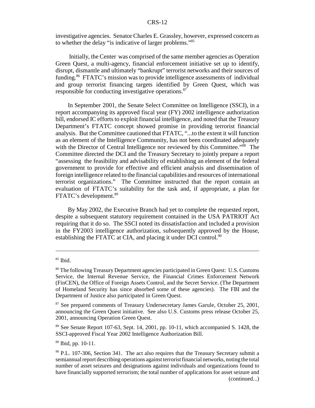investigative agencies. Senator Charles E. Grassley, however, expressed concern as to whether the delay "is indicative of larger problems."85

 Initially, the Center was comprised of the same member agencies as Operation Green Quest, a multi-agency, financial enforcement initiative set up to identify, disrupt, dismantle and ultimately "bankrupt" terrorist networks and their sources of funding.86 FTATC's mission was to provide intelligence assessments of individual and group terrorist financing targets identified by Green Quest, which was responsible for conducting investigative operations.<sup>87</sup>

In September 2001, the Senate Select Committee on Intelligence (SSCI), in a report accompanying its approved fiscal year (FY) 2002 intelligence authorization bill, endorsed IC efforts to exploit financial intelligence, and noted that the Treasury Department's FTATC concept showed promise in providing terrorist financial analysis. But the Committee cautioned that FTATC, "...to the extent it will function as an element of the Intelligence Community, has not been coordinated adequately with the Director of Central Intelligence nor reviewed by this Committee."<sup>88</sup> The Committee directed the DCI and the Treasury Secretary to jointly prepare a report "assessing the feasibility and advisability of establishing an element of the federal government to provide for effective and efficient analysis and dissemination of foreign intelligence related to the financial capabilities and resources of international terrorist organizations." The Committee instructed that the report contain an evaluation of FTATC's suitability for the task and, if appropriate, a plan for FTATC's development.89

By May 2002, the Executive Branch had yet to complete the requested report, despite a subsequent statutory requirement contained in the USA PATRIOT Act requiring that it do so. The SSCI noted its dissatisfaction and included a provision in the FY2003 intelligence authorization, subsequently approved by the House, establishing the FTATC at CIA, and placing it under DCI control.<sup>90</sup>

 $85$  Ibid.

<sup>86</sup> The following Treasury Department agencies participated in Green Quest: U.S. Customs Service, the Internal Revenue Service, the Financial Crimes Enforcement Network (FinCEN), the Office of Foreign Assets Control, and the Secret Service. (The Department of Homeland Security has since absorbed some of these agencies). The FBI and the Department of Justice also participated in Green Quest.

<sup>&</sup>lt;sup>87</sup> See prepared comments of Treasury Undersecretary James Garule, October 25, 2001, announcing the Green Quest initiative. See also U.S. Customs press release October 25, 2001, announcing Operation Green Quest.

<sup>88</sup> See Senate Report 107-63, Sept. 14, 2001, pp. 10-11, which accompanied S. 1428, the SSCI-approved Fiscal Year 2002 Intelligence Authorization Bill.

<sup>89</sup> Ibid, pp. 10-11.

 $90$  P.L. 107-306, Section 341. The act also requires that the Treasury Secretary submit a semiannual report describing operations against terrorist financial networks, noting the total number of asset seizures and designations against individuals and organizations found to have financially supported terrorism; the total number of applications for asset seizure and (continued...)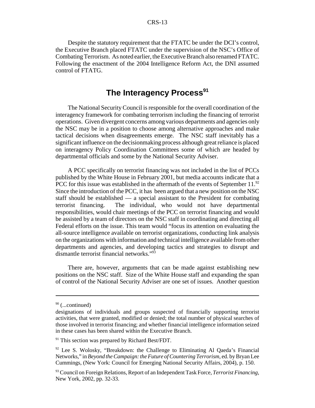Despite the statutory requirement that the FTATC be under the DCI's control, the Executive Branch placed FTATC under the supervision of the NSC's Office of Combating Terrorism. As noted earlier, the Executive Branch also renamed FTATC. Following the enactment of the 2004 Intelligence Reform Act, the DNI assumed control of FTATG.

## **The Interagency Process<sup>91</sup>**

The National Security Council is responsible for the overall coordination of the interagency framework for combating terrorism including the financing of terrorist operations. Given divergent concerns among various departments and agencies only the NSC may be in a position to choose among alternative approaches and make tactical decisions when disagreements emerge. The NSC staff inevitably has a significant influence on the decisionmaking process although great reliance is placed on interagency Policy Coordination Committees some of which are headed by departmental officials and some by the National Security Adviser.

A PCC specifically on terrorist financing was not included in the list of PCCs published by the White House in February 2001, but media accounts indicate that a PCC for this issue was established in the aftermath of the events of September 11.<sup>92</sup> Since the introduction of the PCC, it has been argued that a new position on the NSC staff should be established — a special assistant to the President for combating terrorist financing. The individual, who would not have departmental responsibilities, would chair meetings of the PCC on terrorist financing and would be assisted by a team of directors on the NSC staff in coordinating and directing all Federal efforts on the issue. This team would "focus its attention on evaluating the all-source intelligence available on terrorist organizations, conducting link analysis on the organizations with information and technical intelligence available from other departments and agencies, and developing tactics and strategies to disrupt and dismantle terrorist financial networks."<sup>93</sup>

There are, however, arguments that can be made against establishing new positions on the NSC staff. Size of the White House staff and expanding the span of control of the National Security Adviser are one set of issues. Another question

 $90$  (...continued)

designations of individuals and groups suspected of financially supporting terrorist activities, that were granted, modified or denied; the total number of physical searches of those involved in terrorist financing; and whether financial intelligence information seized in these cases has been shared within the Executive Branch.

<sup>&</sup>lt;sup>91</sup> This section was prepared by Richard Best/FDT.

 $92$  Lee S. Wolosky, "Breakdown: the Challenge to Eliminating Al Qaeda's Financial Networks," in *Beyond the Campaign: the Future of Countering Terrorism*, ed. by Bryan Lee Cummings, (New York: Council for Emerging National Security Affairs, 2004), p. 150.

<sup>93</sup> Council on Foreign Relations, Report of an Independent Task Force, *Terrorist Financing*, New York, 2002, pp. 32-33.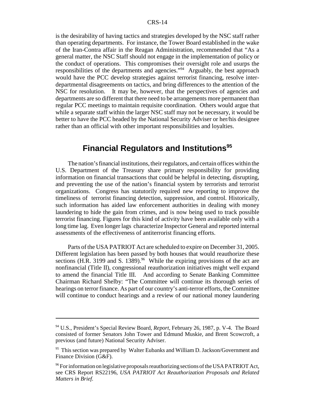is the desirability of having tactics and strategies developed by the NSC staff rather than operating departments. For instance, the Tower Board established in the wake of the Iran-Contra affair in the Reagan Administration, recommended that "As a general matter, the NSC Staff should not engage in the implementation of policy or the conduct of operations. This compromises their oversight role and usurps the responsibilities of the departments and agencies."94 Arguably, the best approach would have the PCC develop strategies against terrorist financing, resolve interdepartmental disagreements on tactics, and bring differences to the attention of the NSC for resolution. It may be, however, that the perspectives of agencies and departments are so different that there need to be arrangements more permanent than regular PCC meetings to maintain requisite coordination. Others would argue that while a separate staff within the larger NSC staff may not be necessary, it would be better to have the PCC headed by the National Security Adviser or her/his designee rather than an official with other important responsibilities and loyalties.

## **Financial Regulators and Institutions<sup>95</sup>**

The nation's financial institutions, their regulators, and certain offices within the U.S. Department of the Treasury share primary responsibility for providing information on financial transactions that could be helpful in detecting, disrupting, and preventing the use of the nation's financial system by terrorists and terrorist organizations. Congress has statutorily required new reporting to improve the timeliness of terrorist financing detection, suppression, and control. Historically, such information has aided law enforcement authorities in dealing with money laundering to hide the gain from crimes, and is now being used to track possible terrorist financing. Figures for this kind of activity have been available only with a long time lag. Even longer lags characterize Inspector General and reported internal assessments of the effectiveness of antiterrorist financing efforts.

Parts of the USA PATRIOT Act are scheduled to expire on December 31, 2005. Different legislation has been passed by both houses that would reauthorize these sections (H.R. 3199 and S. 1389).<sup>96</sup> While the expiring provisions of the act are nonfinancial (Title II), congressional reauthorization initiatives might well expand to amend the financial Title III. And according to Senate Banking Committee Chairman Richard Shelby: "The Committee will continue its thorough series of hearings on terror finance. As part of our country's anti-terror efforts, the Committee will continue to conduct hearings and a review of our national money laundering

<sup>94</sup> U.S., President's Special Review Board, *Report*, February 26, 1987, p. V-4. The Board consisted of former Senators John Tower and Edmund Muskie, and Brent Scowcroft, a previous (and future) National Security Adviser.

<sup>&</sup>lt;sup>95</sup> This section was prepared by Walter Eubanks and William D. Jackson/Government and Finance Division (G&F).

<sup>&</sup>lt;sup>96</sup> For information on legislative proposals reauthorizing sections of the USA PATRIOT Act, see CRS Report RS22196, *USA PATRIOT Act Reauthorization Proposals and Related Matters in Brief.*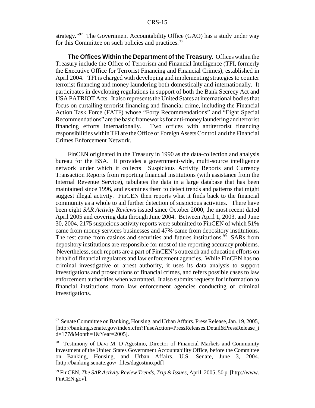strategy."97 The Government Accountability Office (GAO) has a study under way for this Committee on such policies and practices.<sup>98</sup>

**The Offices Within the Department of the Treasury.** Offices within the Treasury include the Office of Terrorism and Financial Intelligence (TFI, formerly the Executive Office for Terrorist Financing and Financial Crimes), established in April 2004. TFI is charged with developing and implementing strategies to counter terrorist financing and money laundering both domestically and internationally. It participates in developing regulations in support of both the Bank Secrecy Act and USA PATRIOT Acts. It also represents the United States at international bodies that focus on curtailing terrorist financing and financial crime, including the Financial Action Task Force (FATF) whose "Forty Recommendations" and "Eight Special Recommendations" are the basic frameworks for anti-money laundering and terrorist financing efforts internationally. Two offices with antiterrorist financing responsibilities within TFI are the Office of Foreign Assets Control and the Financial Crimes Enforcement Network.

FinCEN originated in the Treasury in 1990 as the data-collection and analysis bureau for the BSA. It provides a government-wide, multi-source intelligence network under which it collects Suspicious Activity Reports and Currency Transaction Reports from reporting financial institutions (with assistance from the Internal Revenue Service), tabulates the data in a large database that has been maintained since 1996, and examines them to detect trends and patterns that might suggest illegal activity. FinCEN then reports what it finds back to the financial community as a whole to aid further detection of suspicious activities. There have been eight *SAR Activity Review*s issued since October 2000, the most recent dated April 2005 and covering data through June 2004. Between April 1, 2003, and June 30, 2004, 2175 suspicious activity reports were submitted to FinCEN of which 51% came from money services businesses and 47% came from depository institutions. The rest came from casinos and securities and futures institutions.<sup>99</sup> SARs from depository institutions are responsible for most of the reporting accuracy problems. Nevertheless, such reports are a part of FinCEN's outreach and education efforts on behalf of financial regulators and law enforcement agencies. While FinCEN has no criminal investigative or arrest authority, it uses its data analysis to support investigations and prosecutions of financial crimes, and refers possible cases to law enforcement authorities when warranted. It also submits requests for information to financial institutions from law enforcement agencies conducting of criminal investigations.

<sup>&</sup>lt;sup>97</sup> Senate Committee on Banking, Housing, and Urban Affairs. Press Release, Jan. 19, 2005, [http://banking.senate.gov/index.cfm?FuseAction=PressReleases.Detail&PressRelease\_i d=177&Month=1&Year=2005].

<sup>&</sup>lt;sup>98</sup> Testimony of Davi M. D'Agostino, Director of Financial Markets and Community Investment of the United States Government Accountability Office, before the Committee on Banking, Housing, and Urban Affairs, U.S. Senate, June 3, 2004. [http://banking.senate.gov/\_files/dagostino.pdf]

<sup>99</sup> FinCEN, *The SAR Activity Review Trends, Trip & Issues,* April, 2005, 50 p. [http://www. FinCEN.gov].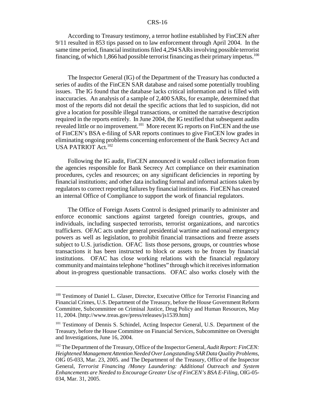According to Treasury testimony, a terror hotline established by FinCEN after 9/11 resulted in 853 tips passed on to law enforcement through April 2004. In the same time period, financial institutions filed 4,294 SARs involving possible terrorist financing, of which 1,866 had possible terrorist financing as their primary impetus.<sup>100</sup>

The Inspector General (IG) of the Department of the Treasury has conducted a series of audits of the FinCEN SAR database and raised some potentially troubling issues. The IG found that the database lacks critical information and is filled with inaccuracies. An analysis of a sample of 2,400 SARs, for example, determined that most of the reports did not detail the specific actions that led to suspicion, did not give a location for possible illegal transactions, or omitted the narrative description required in the reports entirely. In June 2004, the IG testified that subsequent audits revealed little or no improvement.101 More recent IG reports on FinCEN and the use of FinCEN's BSA e-filing of SAR reports continues to give FinCEN low grades in eliminating ongoing problems concerning enforcement of the Bank Secrecy Act and USA PATRIOT Act.<sup>102</sup>

Following the IG audit, FinCEN announced it would collect information from the agencies responsible for Bank Secrecy Act compliance on their examination procedures, cycles and resources; on any significant deficiencies in reporting by financial institutions; and other data including formal and informal actions taken by regulators to correct reporting failures by financial institutions. FinCEN has created an internal Office of Compliance to support the work of financial regulators.

The Office of Foreign Assets Control is designed primarily to administer and enforce economic sanctions against targeted foreign countries, groups, and individuals, including suspected terrorists, terrorist organizations, and narcotics traffickers. OFAC acts under general presidential wartime and national emergency powers as well as legislation, to prohibit financial transactions and freeze assets subject to U.S. jurisdiction. OFAC lists those persons, groups, or countries whose transactions it has been instructed to block or assets to be frozen by financial institutions. OFAC has close working relations with the financial regulatory community and maintains telephone "hotlines" through which it receives information about in-progress questionable transactions. OFAC also works closely with the

<sup>&</sup>lt;sup>100</sup> Testimony of Daniel L. Glaser, Director, Executive Office for Terrorist Financing and Financial Crimes, U.S. Department of the Treasury, before the House Government Reform Committee, Subcommittee on Criminal Justice, Drug Policy and Human Resources, May 11, 2004. [http://www.treas.gov/press/releases/js1539.htm]

<sup>&</sup>lt;sup>101</sup> Testimony of Dennis S. Schindel, Acting Inspector General, U.S. Department of the Treasury, before the House Committee on Financial Services, Subcommittee on Oversight and Investigations, June 16, 2004.

<sup>102</sup> The Department of the Treasury, Office of the Inspector General, *Audit Report: FinCEN: Heightened Management Attention Needed Over Longstanding SAR Data Quality Problems,* OIG 05-033, Mar. 23, 2005. and The Department of the Treasury, Office of the Inspector General, *Terrorist Financing /Money Laundering: Additional Outreach and System Enhancements are Needed to Encourage Greater Use of FinCEN's BSA E-Filing,* OIG-05- 034, Mar. 31, 2005.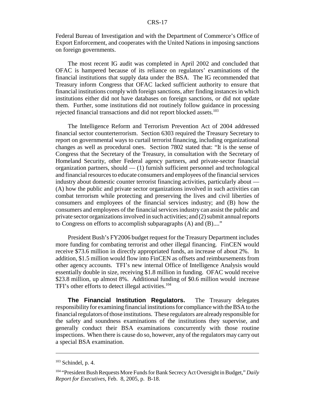Federal Bureau of Investigation and with the Department of Commerce's Office of Export Enforcement, and cooperates with the United Nations in imposing sanctions on foreign governments.

The most recent IG audit was completed in April 2002 and concluded that OFAC is hampered because of its reliance on regulators' examinations of the financial institutions that supply data under the BSA. The IG recommended that Treasury inform Congress that OFAC lacked sufficient authority to ensure that financial institutions comply with foreign sanctions, after finding instances in which institutions either did not have databases on foreign sanctions, or did not update them. Further, some institutions did not routinely follow guidance in processing rejected financial transactions and did not report blocked assets.<sup>103</sup>

The Intelligence Reform and Terrorism Prevention Act of 2004 addressed financial sector counterterrorism. Section 6303 required the Treasury Secretary to report on governmental ways to curtail terrorist financing, including organizational changes as well as procedural ones. Section 7802 stated that: "It is the sense of Congress that the Secretary of the Treasury, in consultation with the Secretary of Homeland Security, other Federal agency partners, and private-sector financial organization partners, should  $-$  (1) furnish sufficient personnel and technological and financial resources to educate consumers and employees of the financial services industry about domestic counter terrorist financing activities, particularly about — (A) how the public and private sector organizations involved in such activities can combat terrorism while protecting and preserving the lives and civil liberties of consumers and employees of the financial services industry; and (B) how the consumers and employees of the financial services industry can assist the public and private sector organizations involved in such activities; and (2) submit annual reports to Congress on efforts to accomplish subparagraphs (A) and (B)...."

President Bush's FY2006 budget request for the Treasury Department includes more funding for combating terrorist and other illegal financing. FinCEN would receive \$73.6 million in directly appropriated funds, an increase of about 2%. In addition, \$1.5 million would flow into FinCEN as offsets and reimbursements from other agency accounts. TFI's new internal Office of Intelligence Analysis would essentially double in size, receiving \$1.8 million in funding. OFAC would receive \$23.8 million, up almost 8%. Additional funding of \$0.6 million would increase TFI's other efforts to detect illegal activities.<sup>104</sup>

**The Financial Institution Regulators.** The Treasury delegates responsibility for examining financial institutions for compliance with the BSA to the financial regulators of those institutions. These regulators are already responsible for the safety and soundness examinations of the institutions they supervise, and generally conduct their BSA examinations concurrently with those routine inspections. When there is cause do so, however, any of the regulators may carry out a special BSA examination.

 $103$  Schindel, p. 4.

<sup>104 &</sup>quot;President Bush Requests More Funds for Bank Secrecy Act Oversight in Budget," *Daily Report for Executives*, Feb. 8, 2005, p. B-18.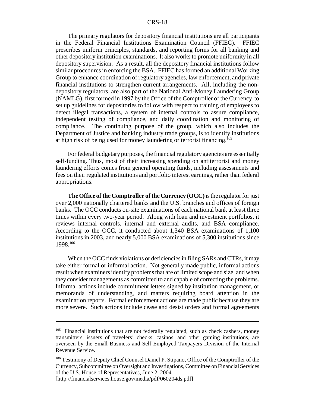The primary regulators for depository financial institutions are all participants in the Federal Financial Institutions Examination Council (FFIEC). FFIEC prescribes uniform principles, standards, and reporting forms for all banking and other depository institution examinations. It also works to promote uniformity in all depository supervision. As a result, all the depository financial institutions follow similar procedures in enforcing the BSA. FFIEC has formed an additional Working Group to enhance coordination of regulatory agencies, law enforcement, and private financial institutions to strengthen current arrangements. All, including the nondepository regulators, are also part of the National Anti-Money Laundering Group (NAMLG), first formed in 1997 by the Office of the Comptroller of the Currency to set up guidelines for depositories to follow with respect to training of employees to detect illegal transactions, a system of internal controls to assure compliance, independent testing of compliance, and daily coordination and monitoring of compliance. The continuing purpose of the group, which also includes the Department of Justice and banking industry trade groups, is to identify institutions at high risk of being used for money laundering or terrorist financing.<sup>105</sup>

For federal budgetary purposes, the financial regulatory agencies are essentially self-funding. Thus, most of their increasing spending on antiterrorist and money laundering efforts comes from general operating funds, including assessments and fees on their regulated institutions and portfolio interest earnings, rather than federal appropriations.

**The Office of the Comptroller of the Currency (OCC)** is the regulator for just over 2,000 nationally chartered banks and the U.S. branches and offices of foreign banks. The OCC conducts on-site examinations of each national bank at least three times within every two-year period. Along with loan and investment portfolios, it reviews internal controls, internal and external audits, and BSA compliance. According to the OCC, it conducted about 1,340 BSA examinations of 1,100 institutions in 2003, and nearly 5,000 BSA examinations of 5,300 institutions since 1998.106

When the OCC finds violations or deficiencies in filing SARs and CTRs, it may take either formal or informal action. Not generally made public, informal actions result when examiners identify problems that are of limited scope and size, and when they consider managements as committed to and capable of correcting the problems. Informal actions include commitment letters signed by institution management, or memoranda of understanding, and matters requiring board attention in the examination reports. Formal enforcement actions are made public because they are more severe. Such actions include cease and desist orders and formal agreements

<sup>&</sup>lt;sup>105</sup> Financial institutions that are not federally regulated, such as check cashers, money transmitters, issuers of travelers' checks, casinos, and other gaming institutions, are overseen by the Small Business and Self-Employed Taxpayers Division of the Internal Revenue Service.

<sup>106</sup> Testimony of Deputy Chief Counsel Daniel P. Stipano, Office of the Comptroller of the Currency, Subcommittee on Oversight and Investigations, Committee on Financial Services of the U.S. House of Representatives, June 2, 2004.

<sup>[</sup>http://financialservices.house.gov/media/pdf/060204ds.pdf]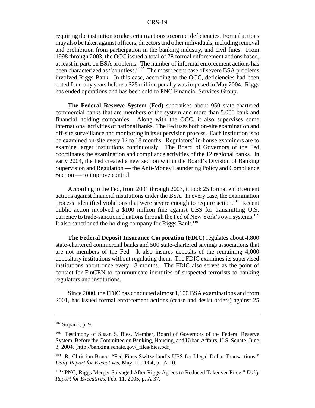requiring the institution to take certain actions to correct deficiencies. Formal actions may also be taken against officers, directors and other individuals, including removal and prohibition from participation in the banking industry, and civil fines. From 1998 through 2003, the OCC issued a total of 78 formal enforcement actions based, at least in part, on BSA problems. The number of informal enforcement actions has been characterized as "countless."107 The most recent case of severe BSA problems involved Riggs Bank. In this case, according to the OCC, deficiencies had been noted for many years before a \$25 million penalty was imposed in May 2004. Riggs has ended operations and has been sold to PNC Financial Services Group.

**The Federal Reserve System (Fed)** supervises about 950 state-chartered commercial banks that are members of the system and more than 5,000 bank and financial holding companies. Along with the OCC, it also supervises some international activities of national banks. The Fed uses both on-site examination and off-site surveillance and monitoring in its supervision process. Each institution is to be examined on-site every 12 to 18 months. Regulators' in-house examiners are to examine larger institutions continuously. The Board of Governors of the Fed coordinates the examination and compliance activities of the 12 regional banks. In early 2004, the Fed created a new section within the Board's Division of Banking Supervision and Regulation — the Anti-Money Laundering Policy and Compliance Section — to improve control.

According to the Fed, from 2001 through 2003, it took 25 formal enforcement actions against financial institutions under the BSA. In every case, the examination process identified violations that were severe enough to require action.<sup>108</sup> Recent public action involved a \$100 million fine against UBS for transmitting U.S. currency to trade-sanctioned nations through the Fed of New York's own systems.<sup>109</sup> It also sanctioned the holding company for Riggs Bank.<sup>110</sup>

**The Federal Deposit Insurance Corporation (FDIC)** regulates about 4,800 state-chartered commercial banks and 500 state-chartered savings associations that are not members of the Fed. It also insures deposits of the remaining 4,000 depository institutions without regulating them. The FDIC examines its supervised institutions about once every 18 months. The FDIC also serves as the point of contact for FinCEN to communicate identities of suspected terrorists to banking regulators and institutions.

Since 2000, the FDIC has conducted almost 1,100 BSA examinations and from 2001, has issued formal enforcement actions (cease and desist orders) against 25

 $107$  Stipano, p. 9.

<sup>108</sup> Testimony of Susan S. Bies, Member, Board of Governors of the Federal Reserve System, Before the Committee on Banking, Housing, and Urban Affairs, U.S. Senate, June 3, 2004. [http://banking.senate.gov/\_files/bies.pdf]

<sup>&</sup>lt;sup>109</sup> R. Christian Bruce, "Fed Fines Switzerland's UBS for Illegal Dollar Transactions," *Daily Report for Executives,* May 11, 2004, p. A-10.

<sup>110 &</sup>quot;PNC, Riggs Merger Salvaged After Riggs Agrees to Reduced Takeover Price," *Daily Report for Executives*, Feb. 11, 2005, p. A-37.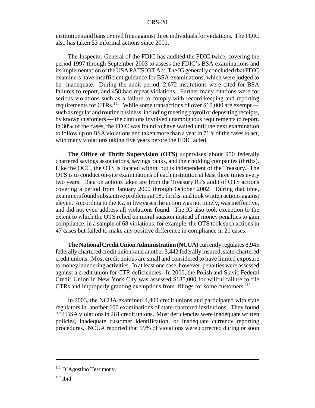institutions and bans or civil fines against three individuals for violations. The FDIC also has taken 53 informal actions since 2001.

The Inspector General of the FDIC has audited the FDIC twice, covering the period 1997 through September 2003 to assess the FDIC's BSA examinations and its implementation of the USA PATRIOT Act. The IG generally concluded that FDIC examiners have insufficient guidance for BSA examinations, which were judged to be inadequate. During the audit period, 2,672 institutions were cited for BSA failures to report, and 458 had repeat violations. Further many citations were for serious violations such as a failure to comply with record-keeping and reporting requirements for CTRs.<sup>111</sup> While some transactions of over \$10,000 are exempt such as regular and routine business, including meeting payroll or depositing receipts, by known customers — the citations involved unambiguous requirements to report. In 30% of the cases, the FDIC was found to have waited until the next examination to follow up on BSA violations and taken more than a year in 71% of the cases to act, with many violations taking five years before the FDIC acted.

**The Office of Thrift Supervision (OTS)** supervises about 950 federally chartered savings associations, savings banks, and their holding companies (thrifts). Like the OCC, the OTS is located within, but is independent of the Treasury. The OTS is to conduct on-site examinations of each institution at least three times every two years. Data on actions taken are from the Treasury IG's audit of OTS actions covering a period from January 2000 through October 2002. During that time, examiners found substantive problems at 180 thrifts, and took written actions against eleven. According to the IG, in five cases the action was not timely, was ineffective, and did not even address all violations found. The IG also took exception to the extent to which the OTS relied on moral suasion instead of money penalties to gain compliance: in a sample of 68 violations, for example, the OTS took such actions in 47 cases but failed to make any positive difference in compliance in 21 cases.

**The National Credit Union Administration (NCUA)** currently regulates 8,945 federally chartered credit unions and another 3,442 federally insured, state-chartered credit unions. Most credit unions are small and considered to have limited exposure to money laundering activities. In at least one case, however, penalties were assessed against a credit union for CTR deficiencies. In 2000, the Polish and Slavic Federal Credit Union in New York City was assessed \$185,000 for willful failure to file CTRs and improperly granting exemptions from filings for some customers.<sup>112</sup>

In 2003, the NCUA examined 4,400 credit unions and participated with state regulators in another 600 examinations of state-chartered institutions. They found 334 BSA violations in 261 credit unions. Most deficiencies were inadequate written policies, inadequate customer identification, or inadequate currency reporting procedures. NCUA reported that 99% of violations were corrected during or soon

<sup>&</sup>lt;sup>111</sup> D'Agostino Testimony.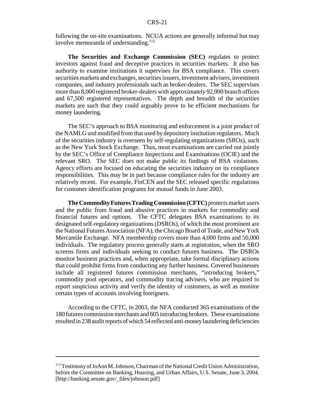following the on-site examinations. NCUA actions are generally informal but may involve memoranda of understanding.<sup>113</sup>

**The Securities and Exchange Commission (SEC)** regulates to protect investors against fraud and deceptive practices in securities markets. It also has authority to examine institutions it supervises for BSA compliance. This covers securities markets and exchanges, securities issuers, investment advisers, investment companies, and industry professionals such as broker-dealers. The SEC supervises more than 8,000 registered broker-dealers with approximately 92,000 branch offices and 67,500 registered representatives. The depth and breadth of the securities markets are such that they could arguably prove to be efficient mechanisms for money laundering.

The SEC's approach to BSA monitoring and enforcement is a joint product of the NAMLG and modified from that used by depository institution regulators. Much of the securities industry is overseen by self-regulating organizations (SROs), such as the New York Stock Exchange. Thus, most examinations are carried out jointly by the SEC's Office of Compliance Inspections and Examinations (OCIE) and the relevant SRO. The SEC does not make public its findings of BSA violations. Agency efforts are focused on educating the securities industry on its compliance responsibilities. This may be in part because compliance rules for the industry are relatively recent. For example, FinCEN and the SEC released specific regulations for customer identification programs for mutual funds in June 2003.

**The Commodity Futures Trading Commission (CFTC)** protects market users and the public from fraud and abusive practices in markets for commodity and financial futures and options. The CFTC delegates BSA examinations to its designated self-regulatory organizations (DSROs), of which the most prominent are the National Futures Association (NFA), the Chicago Board of Trade, and New York Mercantile Exchange. NFA membership covers more than 4,000 firms and 50,000 individuals. The regulatory process generally starts at registration, when the SRO screens firms and individuals seeking to conduct futures business. The DSROs monitor business practices and, when appropriate, take formal disciplinary actions that could prohibit firms from conducting any further business. Covered businesses include all registered futures commission merchants, "introducing brokers," commodity pool operators, and commodity tracing advisers, who are required to report suspicious activity and verify the identity of customers, as well as monitor certain types of accounts involving foreigners.

According to the CFTC, in 2003, the NFA conducted 365 examinations of the 180 futures commission merchants and 605 introducing brokers. These examinations resulted in 238 audit reports of which 54 reflected anti-money laundering deficiencies

<sup>113</sup> Testimony of JoAnn M. Johnson, Chairman of the National Credit Union Administration, before the Committee on Banking, Housing, and Urban Affairs, U.S. Senate, June 3, 2004. [http://banking.senate.gov/\_files/johnson.pdf]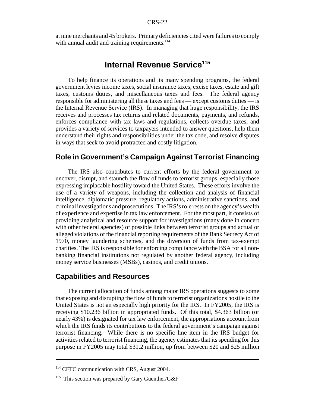at nine merchants and 45 brokers. Primary deficiencies cited were failures to comply with annual audit and training requirements. $114$ 

## **Internal Revenue Service<sup>115</sup>**

To help finance its operations and its many spending programs, the federal government levies income taxes, social insurance taxes, excise taxes, estate and gift taxes, customs duties, and miscellaneous taxes and fees. The federal agency responsible for administering all these taxes and fees — except customs duties — is the Internal Revenue Service (IRS). In managing that huge responsibility, the IRS receives and processes tax returns and related documents, payments, and refunds, enforces compliance with tax laws and regulations, collects overdue taxes, and provides a variety of services to taxpayers intended to answer questions, help them understand their rights and responsibilities under the tax code, and resolve disputes in ways that seek to avoid protracted and costly litigation.

#### **Role in Government's Campaign Against Terrorist Financing**

The IRS also contributes to current efforts by the federal government to uncover, disrupt, and staunch the flow of funds to terrorist groups, especially those expressing implacable hostility toward the United States. These efforts involve the use of a variety of weapons, including the collection and analysis of financial intelligence, diplomatic pressure, regulatory actions, administrative sanctions, and criminal investigations and prosecutions. The IRS's role rests on the agency's wealth of experience and expertise in tax law enforcement. For the most part, it consists of providing analytical and resource support for investigations (many done in concert with other federal agencies) of possible links between terrorist groups and actual or alleged violations of the financial reporting requirements of the Bank Secrecy Act of 1970, money laundering schemes, and the diversion of funds from tax-exempt charities. The IRS is responsible for enforcing compliance with the BSA for all nonbanking financial institutions not regulated by another federal agency, including money service businesses (MSBs), casinos, and credit unions.

#### **Capabilities and Resources**

The current allocation of funds among major IRS operations suggests to some that exposing and disrupting the flow of funds to terrorist organizations hostile to the United States is not an especially high priority for the IRS. In FY2005, the IRS is receiving \$10.236 billion in appropriated funds. Of this total, \$4.363 billion (or nearly 43%) is designated for tax law enforcement, the appropriations account from which the IRS funds its contributions to the federal government's campaign against terrorist financing. While there is no specific line item in the IRS budget for activities related to terrorist financing, the agency estimates that its spending for this purpose in FY2005 may total \$31.2 million, up from between \$20 and \$25 million

<sup>&</sup>lt;sup>114</sup> CFTC communication with CRS, August 2004.

<sup>&</sup>lt;sup>115</sup> This section was prepared by Gary Guenther/G&F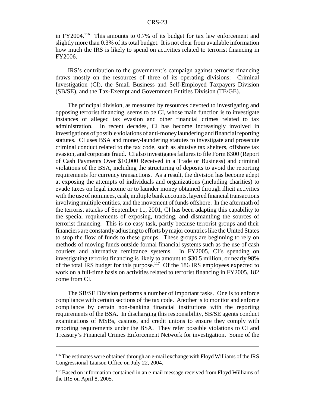in  $FY2004<sup>116</sup>$  This amounts to 0.7% of its budget for tax law enforcement and slightly more than 0.3% of its total budget. It is not clear from available information how much the IRS is likely to spend on activities related to terrorist financing in FY2006.

IRS's contribution to the government's campaign against terrorist financing draws mostly on the resources of three of its operating divisions: Criminal Investigation (CI), the Small Business and Self-Employed Taxpayers Division (SB/SE), and the Tax-Exempt and Government Entities Division (TE/GE).

The principal division, as measured by resources devoted to investigating and opposing terrorist financing, seems to be CI, whose main function is to investigate instances of alleged tax evasion and other financial crimes related to tax administration. In recent decades, CI has become increasingly involved in investigations of possible violations of anti-money laundering and financial reporting statutes. CI uses BSA and money-laundering statutes to investigate and prosecute criminal conduct related to the tax code, such as abusive tax shelters, offshore tax evasion, and corporate fraud. CI also investigates failures to file Form 8300 (Report of Cash Payments Over \$10,000 Received in a Trade or Business) and criminal violations of the BSA, including the structuring of deposits to avoid the reporting requirements for currency transactions. As a result, the division has become adept at exposing the attempts of individuals and organizations (including charities) to evade taxes on legal income or to launder money obtained through illicit activities with the use of nominees, cash, multiple bank accounts, layered financial transactions involving multiple entities, and the movement of funds offshore. In the aftermath of the terrorist attacks of September 11, 2001, CI has been adapting this capability to the special requirements of exposing, tracking, and dismantling the sources of terrorist financing. This is no easy task, partly because terrorist groups and their financiers are constantly adjusting to efforts by major countries like the United States to stop the flow of funds to these groups. These groups are beginning to rely on methods of moving funds outside formal financial systems such as the use of cash couriers and alternative remittance systems. In FY2005, CI's spending on investigating terrorist financing is likely to amount to \$30.5 million, or nearly 98% of the total IRS budget for this purpose.117 Of the 186 IRS employees expected to work on a full-time basis on activities related to terrorist financing in FY2005, 182 come from CI.

The SB/SE Division performs a number of important tasks. One is to enforce compliance with certain sections of the tax code. Another is to monitor and enforce compliance by certain non-banking financial institutions with the reporting requirements of the BSA. In discharging this responsibility, SB/SE agents conduct examinations of MSBs, casinos, and credit unions to ensure they comply with reporting requirements under the BSA. They refer possible violations to CI and Treasury's Financial Crimes Enforcement Network for investigation. Some of the

<sup>116</sup> The estimates were obtained through an e-mail exchange with Floyd Williams of the IRS Congressional Liaison Office on July 22, 2004.

<sup>&</sup>lt;sup>117</sup> Based on information contained in an e-mail message received from Floyd Williams of the IRS on April 8, 2005.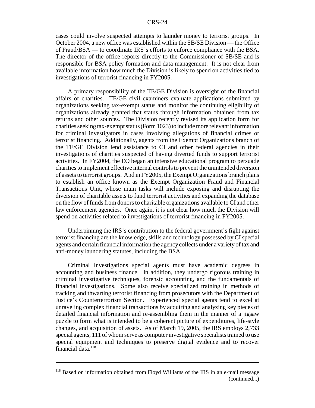cases could involve suspected attempts to launder money to terrorist groups. In October 2004, a new office was established within the SB/SE Division — the Office of Fraud/BSA — to coordinate IRS's efforts to enforce compliance with the BSA. The director of the office reports directly to the Commissioner of SB/SE and is responsible for BSA policy formation and data management. It is not clear from available information how much the Division is likely to spend on activities tied to investigations of terrorist financing in FY2005.

A primary responsibility of the TE/GE Division is oversight of the financial affairs of charities. TE/GE civil examiners evaluate applications submitted by organizations seeking tax-exempt status and monitor the continuing eligibility of organizations already granted that status through information obtained from tax returns and other sources. The Division recently revised its application form for charities seeking tax-exempt status (Form 1023) to include more relevant information for criminal investigators in cases involving allegations of financial crimes or terrorist financing. Additionally, agents from the Exempt Organizations branch of the TE/GE Division lend assistance to CI and other federal agencies in their investigations of charities suspected of having diverted funds to support terrorist activities. In FY2004, the EO began an intensive educational program to persuade charities to implement effective internal controls to prevent the unintended diversion of assets to terrorist groups. And in FY2005, the Exempt Organizations branch plans to establish an office known as the Exempt Organization Fraud and Financial Transactions Unit, whose main tasks will include exposing and disrupting the diversion of charitable assets to fund terrorist activities and expanding the database on the flow of funds from donors to charitable organizations available to CI and other law enforcement agencies. Once again, it is not clear how much the Division will spend on activities related to investigations of terrorist financing in FY2005.

Underpinning the IRS's contribution to the federal government's fight against terrorist financing are the knowledge, skills and technology possessed by CI special agents and certain financial information the agency collects under a variety of tax and anti-money laundering statutes, including the BSA.

Criminal Investigations special agents must have academic degrees in accounting and business finance. In addition, they undergo rigorous training in criminal investigative techniques, forensic accounting, and the fundamentals of financial investigations. Some also receive specialized training in methods of tracking and thwarting terrorist financing from prosecutors with the Department of Justice's Counterterrorism Section. Experienced special agents tend to excel at unraveling complex financial transactions by acquiring and analyzing key pieces of detailed financial information and re-assembling them in the manner of a jigsaw puzzle to form what is intended to be a coherent picture of expenditures, life-style changes, and acquisition of assets. As of March 19, 2005, the IRS employs 2,733 special agents, 111 of whom serve as computer investigative specialists trained to use special equipment and techniques to preserve digital evidence and to recover financial data. $118$ 

<sup>&</sup>lt;sup>118</sup> Based on information obtained from Floyd Williams of the IRS in an e-mail message (continued...)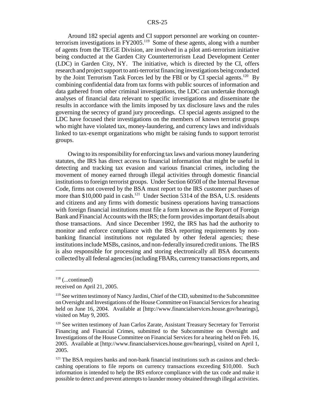Around 182 special agents and CI support personnel are working on counterterrorism investigations in  $FY2005$ .<sup>119</sup> Some of these agents, along with a number of agents from the TE/GE Division, are involved in a pilot anti-terrorism initiative being conducted at the Garden City Counterterrorism Lead Development Center (LDC) in Garden City, NY. The initiative, which is directed by the CI, offers research and project support to anti-terrorist financing investigations being conducted by the Joint Terrorism Task Forces led by the FBI or by CI special agents.<sup>120</sup> By combining confidential data from tax forms with public sources of information and data gathered from other criminal investigations, the LDC can undertake thorough analyses of financial data relevant to specific investigations and disseminate the results in accordance with the limits imposed by tax disclosure laws and the rules governing the secrecy of grand jury proceedings. CI special agents assigned to the LDC have focused their investigations on the members of known terrorist groups who might have violated tax, money-laundering, and currency laws and individuals linked to tax-exempt organizations who might be raising funds to support terrorist groups.

Owing to its responsibility for enforcing tax laws and various money laundering statutes, the IRS has direct access to financial information that might be useful in detecting and tracking tax evasion and various financial crimes, including the movement of money earned through illegal activities through domestic financial institutions to foreign terrorist groups. Under Section 6050I of the Internal Revenue Code, firms not covered by the BSA must report to the IRS customer purchases of more than \$10,000 paid in cash.<sup>121</sup> Under Section 5314 of the BSA, U.S. residents and citizens and any firms with domestic business operations having transactions with foreign financial institutions must file a form known as the Report of Foreign Bank and Financial Accounts with the IRS; the form provides important details about those transactions. And since December 1992, the IRS has had the authority to monitor and enforce compliance with the BSA reporting requirements by nonbanking financial institutions not regulated by other federal agencies; these institutions include MSBs, casinos, and non-federally insured credit unions. The IRS is also responsible for processing and storing electronically all BSA documents collected by all federal agencies (including FBARs, currency transactions reports, and

 $118$  (...continued)

received on April 21, 2005.

<sup>&</sup>lt;sup>119</sup> See written testimony of Nancy Jardini, Chief of the CID, submitted to the Subcommittee on Oversight and Investigations of the House Committee on Financial Services for a hearing held on June 16, 2004. Available at [http://www.financialservices.house.gov/hearings], visited on May 9, 2005.

<sup>&</sup>lt;sup>120</sup> See written testimony of Juan Carlos Zarate, Assistant Treasury Secretary for Terrorist Financing and Financial Crimes, submitted to the Subcommittee on Oversight and Investigations of the House Committee on Financial Services for a hearing held on Feb. 16, 2005. Available at [http://www.financialservices.house.gov/hearings], visited on April 1, 2005.

<sup>&</sup>lt;sup>121</sup> The BSA requires banks and non-bank financial institutions such as casinos and checkcashing operations to file reports on currency transactions exceeding \$10,000. Such information is intended to help the IRS enforce compliance with the tax code and make it possible to detect and prevent attempts to launder money obtained through illegal activities.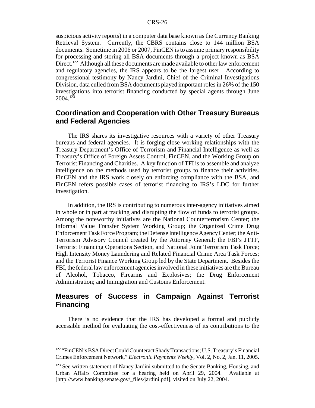suspicious activity reports) in a computer data base known as the Currency Banking Retrieval System. Currently, the CBRS contains close to 144 million BSA documents. Sometime in 2006 or 2007, FinCEN is to assume primary responsibility for processing and storing all BSA documents through a project known as BSA Direct.<sup>122</sup> Although all these documents are made available to other law enforcement and regulatory agencies, the IRS appears to be the largest user. According to congressional testimony by Nancy Jardini, Chief of the Criminal Investigations Division, data culled from BSA documents played important roles in 26% of the 150 investigations into terrorist financing conducted by special agents through June  $2004.<sup>123</sup>$ 

### **Coordination and Cooperation with Other Treasury Bureaus and Federal Agencies**

The IRS shares its investigative resources with a variety of other Treasury bureaus and federal agencies. It is forging close working relationships with the Treasury Department's Office of Terrorism and Financial Intelligence as well as Treasury's Office of Foreign Assets Control, FinCEN, and the Working Group on Terrorist Financing and Charities. A key function of TFI is to assemble and analyze intelligence on the methods used by terrorist groups to finance their activities. FinCEN and the IRS work closely on enforcing compliance with the BSA, and FinCEN refers possible cases of terrorist financing to IRS's LDC for further investigation.

In addition, the IRS is contributing to numerous inter-agency initiatives aimed in whole or in part at tracking and disrupting the flow of funds to terrorist groups. Among the noteworthy initiatives are the National Counterterrorism Center; the Informal Value Transfer System Working Group; the Organized Crime Drug Enforcement Task Force Program; the Defense Intelligence Agency Center; the Anti-Terrorism Advisory Council created by the Attorney General; the FBI's JTTF, Terrorist Financing Operations Section, and National Joint Terrorism Task Force; High Intensity Money Laundering and Related Financial Crime Area Task Forces; and the Terrorist Finance Working Group led by the State Department. Besides the FBI, the federal law enforcement agencies involved in these initiatives are the Bureau of Alcohol, Tobacco, Firearms and Explosives; the Drug Enforcement Administration; and Immigration and Customs Enforcement.

### **Measures of Success in Campaign Against Terrorist Financing**

There is no evidence that the IRS has developed a formal and publicly accessible method for evaluating the cost-effectiveness of its contributions to the

<sup>&</sup>lt;sup>122</sup> "FinCEN's BSA Direct Could Counteract Shady Transactions; U.S. Treasury's Financial Crimes Enforcement Network," *Electronic Payments Weekly*, Vol. 2, No. 2, Jan. 11, 2005.

<sup>&</sup>lt;sup>123</sup> See written statement of Nancy Jardini submitted to the Senate Banking, Housing, and Urban Affairs Committee for a hearing held on April 29, 2004. Available at [http://www.banking.senate.gov/\_files/jardini.pdf], visited on July 22, 2004.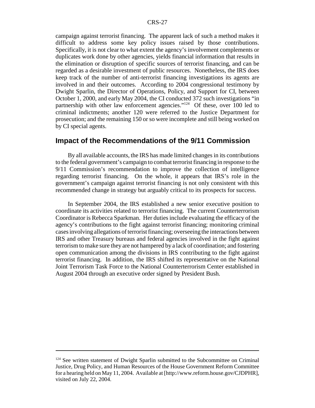campaign against terrorist financing. The apparent lack of such a method makes it difficult to address some key policy issues raised by those contributions. Specifically, it is not clear to what extent the agency's involvement complements or duplicates work done by other agencies, yields financial information that results in the elimination or disruption of specific sources of terrorist financing, and can be regarded as a desirable investment of public resources. Nonetheless, the IRS does keep track of the number of anti-terrorist financing investigations its agents are involved in and their outcomes. According to 2004 congressional testimony by Dwight Sparlin, the Director of Operations, Policy, and Support for CI, between October 1, 2000, and early May 2004, the CI conducted 372 such investigations "in partnership with other law enforcement agencies."<sup>124</sup> Of these, over 100 led to criminal indictments; another 120 were referred to the Justice Department for prosecution; and the remaining 150 or so were incomplete and still being worked on by CI special agents.

#### **Impact of the Recommendations of the 9/11 Commission**

By all available accounts, the IRS has made limited changes in its contributions to the federal government's campaign to combat terrorist financing in response to the 9/11 Commission's recommendation to improve the collection of intelligence regarding terrorist financing. On the whole, it appears that IRS's role in the government's campaign against terrorist financing is not only consistent with this recommended change in strategy but arguably critical to its prospects for success.

In September 2004, the IRS established a new senior executive position to coordinate its activities related to terrorist financing. The current Counterterrorism Coordinator is Rebecca Sparkman. Her duties include evaluating the efficacy of the agency's contributions to the fight against terrorist financing; monitoring criminal cases involving allegations of terrorist financing; overseeing the interactions between IRS and other Treasury bureaus and federal agencies involved in the fight against terrorism to make sure they are not hampered by a lack of coordination; and fostering open communication among the divisions in IRS contributing to the fight against terrorist financing. In addition, the IRS shifted its representative on the National Joint Terrorism Task Force to the National Counterterrorism Center established in August 2004 through an executive order signed by President Bush.

<sup>&</sup>lt;sup>124</sup> See written statement of Dwight Sparlin submitted to the Subcommittee on Criminal Justice, Drug Policy, and Human Resources of the House Government Reform Committee for a hearing held on May 11, 2004. Available at [http://www.reform.house.gov/CJDPHR], visited on July 22, 2004.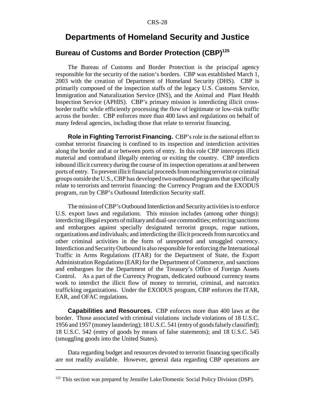### **Departments of Homeland Security and Justice**

### **Bureau of Customs and Border Protection (CBP)125**

The Bureau of Customs and Border Protection is the principal agency responsible for the security of the nation's borders. CBP was established March 1, 2003 with the creation of Department of Homeland Security (DHS). CBP is primarily composed of the inspection staffs of the legacy U.S. Customs Service, Immigration and Naturalization Service (INS), and the Animal and Plant Health Inspection Service (APHIS). CBP's primary mission is interdicting illicit crossborder traffic while efficiently processing the flow of legitimate or low-risk traffic across the border. CBP enforces more than 400 laws and regulations on behalf of many federal agencies, including those that relate to terrorist financing.

**Role in Fighting Terrorist Financing.** CBP's role in the national effort to combat terrorist financing is confined to its inspection and interdiction activities along the border and at or between ports of entry. In this role CBP intercepts illicit material and contraband illegally entering or exiting the country. CBP interdicts inbound illicit currency during the course of its inspection operations at and between ports of entry. To prevent illicit financial proceeds from reaching terrorist or criminal groups outside the U.S., CBP has developed two outbound programs that specifically relate to terrorists and terrorist financing: the Currency Program and the EXODUS program, run by CBP's Outbound Interdiction Security staff.

The mission of CBP's Outbound Interdiction and Security activities is to enforce U.S. export laws and regulations. This mission includes (among other things): interdicting illegal exports of military and dual-use commodities; enforcing sanctions and embargoes against specially designated terrorist groups, rogue nations, organizations and individuals; and interdicting the illicit proceeds from narcotics and other criminal activities in the form of unreported and smuggled currency. Interdiction and Security Outbound is also responsible for enforcing the International Traffic in Arms Regulations (ITAR) for the Department of State, the Export Administration Regulations (EAR) for the Department of Commerce, and sanctions and embargoes for the Department of the Treasury's Office of Foreign Assets Control. As a part of the Currency Program, dedicated outbound currency teams work to interdict the illicit flow of money to terrorist, criminal, and narcotics trafficking organizations. Under the EXODUS program, CBP enforces the ITAR, EAR, and OFAC regulations.

**Capabilities and Resources.** CBP enforces more than 400 laws at the border. Those associated with criminal violations include violations of 18 U.S.C. 1956 and 1957 (money laundering); 18 U.S.C. 541 (entry of goods falsely classified); 18 U.S.C. 542 (entry of goods by means of false statements); and 18 U.S.C. 545 (smuggling goods into the United States).

Data regarding budget and resources devoted to terrorist financing specifically are not readily available. However, general data regarding CBP operations are

<sup>&</sup>lt;sup>125</sup> This section was prepared by Jennifer Lake/Domestic Social Policy Division (DSP).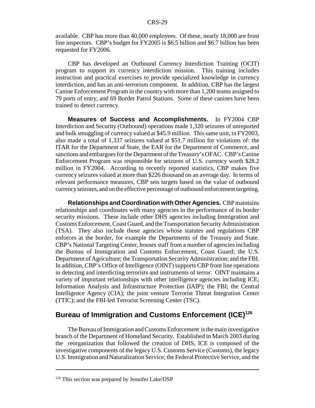available. CBP has more than 40,000 employees. Of these, nearly 18,000 are front line inspectors. CBP's budget for FY2005 is \$6.5 billion and \$6.7 billion has been requested for FY2006.

CBP has developed an Outbound Currency Interdiction Training (OCIT) program to support its currency interdiction mission. This training includes instruction and practical exercises to provide specialized knowledge in currency interdiction, and has an anti-terrorism component. In addition, CBP has the largest Canine Enforcement Program in the country with more than 1,200 teams assigned to 79 ports of entry, and 69 Border Patrol Stations. Some of these canines have been trained to detect currency.

**Measures of Success and Accomplishments.** In FY2004 CBP Interdiction and Security (Outbound) operations made 1,320 seizures of unreported and bulk smuggling of currency valued at \$45.9 million. This same unit, in FY2003, also made a total of 1,337 seizures valued at \$51.7 million for violations of: the ITAR for the Department of State, the EAR for the Department of Commerce, and sanctions and embargoes for the Department of the Treasury's OFAC. CBP's Canine Enforcement Program was responsible for seizures of U.S. currency worth \$28.2 million in FY2004. According to recently reported statistics, CBP makes five currency seizures valued at more than \$226 thousand on an average day. In terms of relevant performance measures, CBP sets targets based on the value of outbound currency seizures, and on the effective percentage of outbound enforcement targeting.

**Relationships and Coordination with Other Agencies.** CBP maintains relationships and coordinates with many agencies in the performance of its border security missions. These include other DHS agencies including Immigration and Customs Enforcement, Coast Guard, and the Transportation Security Administration (TSA). They also include those agencies whose statutes and regulations CBP enforces at the border, for example the Departments of the Treasury and State. CBP's National Targeting Center, houses staff from a number of agencies including the Bureau of Immigration and Customs Enforcement, Coast Guard; the U.S. Department of Agriculture; the Transportation Security Administration; and the FBI. In addition, CBP's Office of Intelligence (OINT) supports CBP front line operations in detecting and interdicting terrorists and instruments of terror. OINT maintains a variety of important relationships with other intelligence agencies including ICE; Information Analysis and Infrastructure Protection (IAIP); the FBI; the Central Intelligence Agency (CIA); the joint venture Terrorist Threat Integration Center (TTIC); and the FBI-led Terrorist Screening Center (TSC).

#### **Bureau of Immigration and Customs Enforcement (ICE)126**

The Bureau of Immigration and Customs Enforcement is the main investigative branch of the Department of Homeland Security. Established in March 2003 during the reorganization that followed the creation of DHS, ICE is composed of the investigative components of the legacy U.S. Customs Service (Customs), the legacy U.S. Immigration and Naturalization Service; the Federal Protective Service, and the

 $126$  This section was prepared by Jennifer Lake/DSP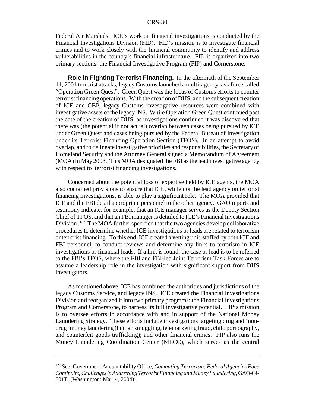Federal Air Marshals. ICE's work on financial investigations is conducted by the Financial Investigations Division (FID). FID's mission is to investigate financial crimes and to work closely with the financial community to identify and address vulnerabilities in the country's financial infrastructure. FID is organized into two primary sections: the Financial Investigative Program (FIP) and Cornerstone.

**Role in Fighting Terrorist Financing.** In the aftermath of the September 11, 2001 terrorist attacks, legacy Customs launched a multi-agency task force called "Operation Green Quest". Green Quest was the focus of Customs efforts to counter terrorist financing operations. With the creation of DHS, and the subsequent creation of ICE and CBP, legacy Customs investigative resources were combined with investigative assets of the legacy INS. While Operation Green Quest continued past the date of the creation of DHS, as investigations continued it was discovered that there was (the potential if not actual) overlap between cases being pursued by ICE under Green Quest and cases being pursued by the Federal Bureau of Investigation under its Terrorist Financing Operation Section (TFOS). In an attempt to avoid overlap, and to delineate investigative priorities and responsibilities, the Secretary of Homeland Security and the Attorney General signed a Memorandum of Agreement (MOA) in May 2003. This MOA designated the FBI as the lead investigative agency with respect to terrorist financing investigations.

Concerned about the potential loss of expertise held by ICE agents, the MOA also contained provisions to ensure that ICE, while not the lead agency on terrorist financing investigations, is able to play a significant role. The MOA provided that ICE and the FBI detail appropriate personnel to the other agency. GAO reports and testimony indicate, for example, that an ICE manager serves as the Deputy Section Chief of TFOS, and that an FBI manager is detailed to ICE's Financial Investigations Division .<sup>127</sup> The MOA further specified that the two agencies develop collaborative procedures to determine whether ICE investigations or leads are related to terrorism or terrorist financing. To this end, ICE created a vetting unit, staffed by both ICE and FBI personnel, to conduct reviews and determine any links to terrorism in ICE investigations or financial leads. If a link is found, the case or lead is to be referred to the FBI's TFOS, where the FBI and FBI-led Joint Terrorism Task Forces are to assume a leadership role in the investigation with significant support from DHS investigators.

As mentioned above, ICE has combined the authorities and jurisdictions of the legacy Customs Service, and legacy INS. ICE created the Financial Investigations Division and reorganized it into two primary programs: the Financial Investigations Program and Cornerstone, to harness its full investigative potential. FIP's mission is to oversee efforts in accordance with and in support of the National Money Laundering Strategy. These efforts include investigations targeting drug and 'nondrug' money laundering (human smuggling, telemarketing fraud, child pornography, and counterfeit goods trafficking); and other financial crimes. FIP also runs the Money Laundering Coordination Center (MLCC), which serves as the central

<sup>127</sup> See, Government Accountability Office, *Combating Terrorism: Federal Agencies Face Continuing Challenges in Addressing Terrorist Financing and Money Laundering*, GAO-04- 501T, (Washington: Mar. 4, 2004);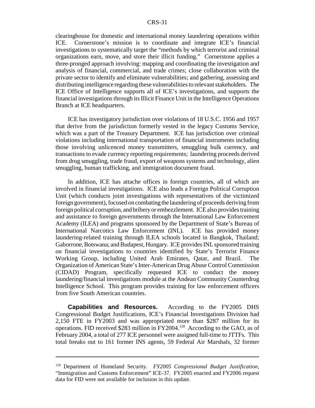clearinghouse for domestic and international money laundering operations within ICE. Cornerstone's mission is to coordinate and integrate ICE's financial investigations to systematically target the "methods by which terrorist and criminal organizations earn, move, and store their illicit funding." Cornerstone applies a three-pronged approach involving: mapping and coordinating the investigation and analysis of financial, commercial, and trade crimes; close collaboration with the private sector to identify and eliminate vulnerabilities; and gathering, assessing and distributing intelligence regarding these vulnerabilities to relevant stakeholders. The ICE Office of Intelligence supports all of ICE's investigations, and supports the financial investigations through its Illicit Finance Unit in the Intelligence Operations Branch at ICE headquarters.

ICE has investigatory jurisdiction over violations of 18 U.S.C. 1956 and 1957 that derive from the jurisdiction formerly vested in the legacy Customs Service, which was a part of the Treasury Department. ICE has jurisdiction over criminal violations including international transportation of financial instruments including those involving unlicenced money transmitters, smuggling bulk currency, and transactions to evade currency reporting requirements; laundering proceeds derived from drug smuggling, trade fraud, export of weapons systems and technology, alien smuggling, human trafficking, and immigration document fraud.

In addition, ICE has attache offices in foreign countries, all of which are involved in financial investigations. ICE also leads a Foreign Political Corruption Unit (which conducts joint investigations with representatives of the victimized foreign government), focused on combating the laundering of proceeds deriving from foreign political corruption, and bribery or embezzlement. ICE also provides training and assistance to foreign governments through the International Law Enforcement Academy (ILEA) and programs sponsored by the Department of State's Bureau of International Narcotics Law Enforcement (INL). ICE has provided money laundering-related training through ILEA schools located in Bangkok, Thailand; Gaborrone, Botswana; and Budapest, Hungary. ICE provides INL sponsored training on financial investigations to countries identified by State's Terrorist Finance Working Group, including United Arab Emirates, Qatar, and Brazil. The Organization of American State's Inter-American Drug Abuse Control Commission (CIDAD) Program, specifically requested ICE to conduct the money laundering/financial investigations module at the Andean Community Counterdrug Intelligence School. This program provides training for law enforcement officers from five South American countries.

**Capabilities and Resources.** According to the FY2005 DHS Congressional Budget Justifications, ICE's Financial Investigations Division had 2,150 FTE in FY2003 and was appropriated more than \$287 million for its operations. FID received \$283 million in FY2004.128 According to the GAO, as of February 2004, a total of 277 ICE personnel were assigned full-time to JTTFs. This total breaks out to 161 former INS agents, 59 Federal Air Marshals, 32 former

<sup>128</sup> Department of Homeland Security. *FY2005 Congressional Budget Justification*, "Immigration and Customs Enforcement" ICE-37. FY2005 enacted and FY2006 request data for FID were not available for inclusion in this update.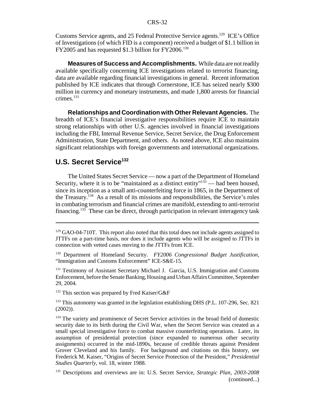Customs Service agents, and 25 Federal Protective Service agents.129 ICE's Office of Investigations (of which FID is a component) received a budget of \$1.1 billion in FY2005 and has requested \$1.3 billion for FY2006.<sup>130</sup>

**Measures of Success and Accomplishments.** While data are not readily available specifically concerning ICE investigations related to terrorist financing, data are available regarding financial investigations in general. Recent information published by ICE indicates that through Cornerstone, ICE has seized nearly \$300 million in currency and monetary instruments, and made 1,800 arrests for financial crimes. $131$ 

**Relationships and Coordination with Other Relevant Agencies.** The breadth of ICE's financial investigative responsibilities require ICE to maintain strong relationships with other U.S. agencies involved in financial investigations including the FBI, Internal Revenue Service, Secret Service, the Drug Enforcement Administration, State Department, and others. As noted above, ICE also maintains significant relationships with foreign governments and international organizations.

#### **U.S. Secret Service132**

The United States Secret Service — now a part of the Department of Homeland Security, where it is to be "maintained as a distinct entity" $133$  — had been housed, since its inception as a small anti-counterfeiting force in 1865, in the Department of the Treasury.134 As a result of its missions and responsibilities, the Service's roles in combating terrorism and financial crimes are manifold, extending to anti-terrorist financing.<sup>135</sup> These can be direct, through participation in relevant interagency task

<sup>131</sup> Testimony of Assistant Secretary Michael J. Garcia, U.S. Immigration and Customs Enforcement, before the Senate Banking, Housing and Urban Affairs Committee, September 29, 2004.

<sup>132</sup> This section was prepared by Fred Kaiser/G&F

<sup>133</sup> This autonomy was granted in the legislation establishing DHS (P.L. 107-296, Sec. 821 (2002)).

<sup>134</sup> The variety and prominence of Secret Service activities in the broad field of domestic security date to its birth during the Civil War, when the Secret Service was created as a small special investigative force to combat massive counterfeiting operations. Later, its assumption of presidential protection (since expanded to numerous other security assignments) occurred in the mid-1890s, because of credible threats against President Grover Cleveland and his family. For background and citations on this history, see Frederick M. Kaiser, "Origins of Secret Service Protection of the President," *Presidential Studies Quarterly*, vol. 18, winter 1988.

135 Descriptions and overviews are in: U.S. Secret Service, *Strategic Plan, 2003-2008* (continued...)

 $129$  GAO-04-710T. This report also noted that this total does not include agents assigned to JTTFs on a part-time basis, nor does it include agents who will be assigned to JTTFs in connection with vetted cases moving to the JTTFs from ICE.

<sup>130</sup> Department of Homeland Security. *FY2006 Congressional Budget Justification,* "Immigration and Customs Enforcement" ICE-S&E-15.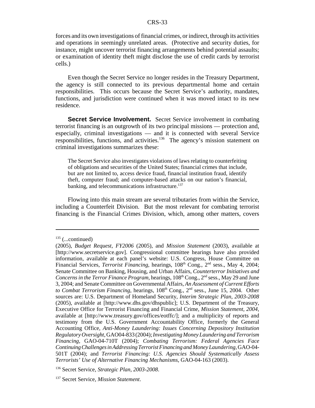forces and its own investigations of financial crimes, or indirect, through its activities and operations in seemingly unrelated areas. (Protective and security duties, for instance, might uncover terrorist financing arrangements behind potential assaults; or examination of identity theft might disclose the use of credit cards by terrorist cells.)

Even though the Secret Service no longer resides in the Treasury Department, the agency is still connected to its previous departmental home and certain responsibilities. This occurs because the Secret Service's authority, mandates, functions, and jurisdiction were continued when it was moved intact to its new residence.

**Secret Service Involvement.** Secret Service involvement in combating terrorist financing is an outgrowth of its two principal missions — protection and, especially, criminal investigations — and it is connected with several Service responsibilities, functions, and activities.<sup>136</sup> The agency's mission statement on criminal investigations summarizes these:

The Secret Service also investigates violations of laws relating to counterfeiting of obligations and securities of the United States; financial crimes that include, but are not limited to, access device fraud, financial institution fraud, identify theft, computer fraud; and computer-based attacks on our nation's financial, banking, and telecommunications infrastructure.<sup>137</sup>

Flowing into this main stream are several tributaries from within the Service, including a Counterfeit Division. But the most relevant for combating terrorist financing is the Financial Crimes Division, which, among other matters, covers

 $135$  (...continued)

<sup>(2005),</sup> *Budget Request, FY2006* (2005), and *Mission Statement* (2003), available at [http://www.secretservice.gov]. Congressional committee hearings have also provided information, available at each panel's website: U.S. Congress, House Committee on Financial Services, *Terrorist Financing*, hearings, 108<sup>th</sup> Cong., 2<sup>nd</sup> sess., May 4, 2004; Senate Committee on Banking, Housing, and Urban Affairs, *Counterterror Initiatives and Concerns in the Terror Finance Program*, hearings, 108<sup>th</sup> Cong., 2<sup>nd</sup> sess., May 29 and June 3, 2004; and Senate Committee on Governmental Affairs, *An Assessment of Current Efforts to Combat Terrorism Financing*, hearings, 108<sup>th</sup> Cong., 2<sup>nd</sup> sess., June 15, 2004. Other sources are: U.S. Department of Homeland Security, *Interim Strategic Plan, 2003-2008* (2005), available at [http://www.dhs.gov/dhspublic]; U.S. Department of the Treasury, Executive Office for Terrorist Financing and Financial Crime, *Mission Statement, 2004*, available at [http://www.treasury.gov/offices/eotffc/]; and a multiplicity of reports and testimony from the U.S. Government Accountability Office, formerly the General Accounting Office, *Anti-Money Laundering: Issues Concerning Depository Institution Regulatory Oversight*, GAO04-833 (2004); *Investigating Money Laundering and Terrorism Financing*, GAO-04-710T (2004); *Combating Terrorism: Federal Agencies Face Continuing Challenges in Addressing Terrorist Financing and Money Laundering*, GAO-04- 501T (2004); and *Terrorist Financing: U.S. Agencies Should Systematically Assess Terrorists' Use of Alternative Financing Mechanisms*, GAO-04-163 (2003).

<sup>136</sup> Secret Service, *Strategic Plan, 2003-2008*.

<sup>137</sup> Secret Service, *Mission Statement*.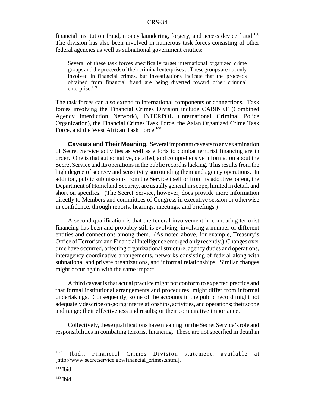financial institution fraud, money laundering, forgery, and access device fraud.138 The division has also been involved in numerous task forces consisting of other federal agencies as well as subnational government entities:

Several of these task forces specifically target international organized crime groups and the proceeds of their criminal enterprises ... These groups are not only involved in financial crimes, but investigations indicate that the proceeds obtained from financial fraud are being diverted toward other criminal enterprise.<sup>139</sup>

The task forces can also extend to international components or connections. Task forces involving the Financial Crimes Division include CABINET (Combined Agency Interdiction Network), INTERPOL (International Criminal Police Organization), the Financial Crimes Task Force, the Asian Organized Crime Task Force, and the West African Task Force.<sup>140</sup>

**Caveats and Their Meaning.** Several important caveats to any examination of Secret Service activities as well as efforts to combat terrorist financing are in order. One is that authoritative, detailed, and comprehensive information about the Secret Service and its operations in the public record is lacking. This results from the high degree of secrecy and sensitivity surrounding them and agency operations. In addition, public submissions from the Service itself or from its adoptive parent, the Department of Homeland Security, are usually general in scope, limited in detail, and short on specifics. (The Secret Service, however, does provide more information directly to Members and committees of Congress in executive session or otherwise in confidence, through reports, hearings, meetings, and briefings.)

A second qualification is that the federal involvement in combating terrorist financing has been and probably still is evolving, involving a number of different entities and connections among them. (As noted above, for example, Treasury's Office of Terrorism and Financial Intelligence emerged only recently.) Changes over time have occurred, affecting organizational structure, agency duties and operations, interagency coordinative arrangements, networks consisting of federal along with subnational and private organizations, and informal relationships. Similar changes might occur again with the same impact.

A third caveat is that actual practice might not conform to expected practice and that formal institutional arrangements and procedures might differ from informal undertakings. Consequently, some of the accounts in the public record might not adequately describe on-going interrelationships, activities, and operations; their scope and range; their effectiveness and results; or their comparative importance.

Collectively, these qualifications have meaning for the Secret Service's role and responsibilities in combating terrorist financing. These are not specified in detail in

<sup>&</sup>lt;sup>138</sup> Ibid., Financial Crimes Division statement, available at [http://www.secretservice.gov/financial\_crimes.shtml].

 $139$  Ibid.

 $140$  Ibid.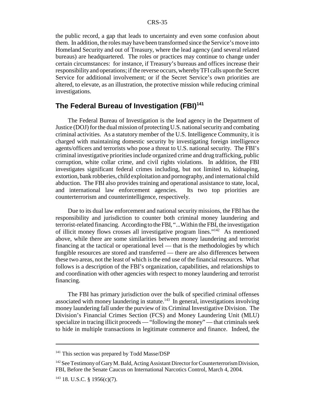the public record, a gap that leads to uncertainty and even some confusion about them. In addition, the roles may have been transformed since the Service's move into Homeland Security and out of Treasury, where the lead agency (and several related bureaus) are headquartered. The roles or practices may continue to change under certain circumstances: for instance, if Treasury's bureaus and offices increase their responsibility and operations; if the reverse occurs, whereby TFI calls upon the Secret Service for additional involvement; or if the Secret Service's own priorities are altered, to elevate, as an illustration, the protective mission while reducing criminal investigations.

### **The Federal Bureau of Investigation (FBI)<sup>141</sup>**

The Federal Bureau of Investigation is the lead agency in the Department of Justice (DOJ) for the dual mission of protecting U.S. national security and combating criminal activities. As a statutory member of the U.S. Intelligence Community, it is charged with maintaining domestic security by investigating foreign intelligence agents/officers and terrorists who pose a threat to U.S. national security. The FBI's criminal investigative priorities include organized crime and drug trafficking, public corruption, white collar crime, and civil rights violations. In addition, the FBI investigates significant federal crimes including, but not limited to, kidnaping, extortion, bank robberies, child exploitation and pornography, and international child abduction. The FBI also provides training and operational assistance to state, local, and international law enforcement agencies. Its two top priorities are counterterrorism and counterintelligence, respectively.

Due to its dual law enforcement and national security missions, the FBI has the responsibility and jurisdiction to counter both criminal money laundering and terrorist-related financing. According to the FBI, "...Within the FBI, the investigation of illicit money flows crosses all investigative program lines."142 As mentioned above, while there are some similarities between money laundering and terrorist financing at the tactical or operational level — that is the methodologies by which fungible resources are stored and transferred — there are also differences between these two areas, not the least of which is the end use of the financial resources. What follows is a description of the FBI's organization, capabilities, and relationships to and coordination with other agencies with respect to money laundering and terrorist financing.

The FBI has primary jurisdiction over the bulk of specified criminal offenses associated with money laundering in statute.<sup>143</sup> In general, investigations involving money laundering fall under the purview of its Criminal Investigative Division. The Division's Financial Crimes Section (FCS) and Money Laundering Unit (MLU) specialize in tracing illicit proceeds — "following the money" — that criminals seek to hide in multiple transactions in legitimate commerce and finance. Indeed, the

<sup>&</sup>lt;sup>141</sup> This section was prepared by Todd Masse/DSP

<sup>&</sup>lt;sup>142</sup> See Testimony of Gary M. Bald, Acting Assistant Director for Counterterrorism Division, FBI, Before the Senate Caucus on International Narcotics Control, March 4, 2004.

 $143$  18. U.S.C. § 1956(c)(7).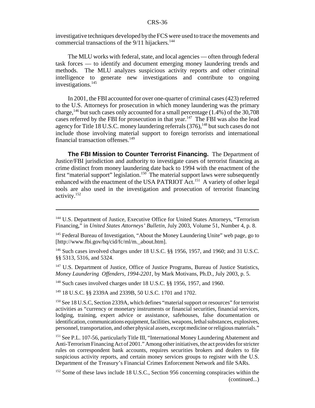investigative techniques developed by the FCS were used to trace the movements and commercial transactions of the  $9/11$  hijackers.<sup>144</sup>

The MLU works with federal, state, and local agencies — often through federal task forces — to identify and document emerging money laundering trends and methods. The MLU analyzes suspicious activity reports and other criminal intelligence to generate new investigations and contribute to ongoing investigations.<sup>145</sup>

In 2001, the FBI accounted for over one-quarter of criminal cases (423) referred to the U.S. Attorneys for prosecution in which money laundering was the primary charge,<sup>146</sup> but such cases only accounted for a small percentage  $(1.4\%)$  of the 30,708 cases referred by the FBI for prosecution in that year.<sup>147</sup> The FBI was also the lead agency for Title 18 U.S.C. money laundering referrals (376),<sup>148</sup> but such cases do not include those involving material support to foreign terrorists and international financial transaction offenses.<sup>149</sup>

**The FBI Mission to Counter Terrorist Financing.** The Department of Justice/FBI jurisdiction and authority to investigate cases of terrorist financing as crime distinct from money laundering date back to 1994 with the enactment of the first "material support" legislation.<sup>150</sup> The material support laws were subsequently enhanced with the enactment of the USA PATRIOT Act.<sup>151</sup> A variety of other legal tools are also used in the investigation and prosecution of terrorist financing activity.152

<sup>147</sup> U.S. Department of Justice, Office of Justice Programs, Bureau of Justice Statistics, *Money Laundering Offenders, 1994-2201*, by Mark Motivans, Ph.D., July 2003, p. 5.

148 Such cases involved charges under 18 U.S.C. §§ 1956, 1957, and 1960.

149 18 U.S.C. §§ 2339A and 2339B, 50 U.S.C. 1701 and 1702.

<sup>150</sup> See 18 U.S.C, Section 2339A, which defines "material support or resources" for terrorist activities as "currency or monetary instruments or financial securities, financial services, lodging, training, expert advice or assistance, safehouses, false documentation or identification, communications equipment, facilities, weapons, lethal substances, explosives, personnel, transportation, and other physical assets, except medicine or religious materials."

<sup>151</sup> See P.L. 107-56, particularly Title III, "International Money Laundering Abatement and Anti-Terrorism Financing Act of 2001." Among other initiatives, the act provides for stricter rules on correspondent bank accounts, requires securities brokers and dealers to file suspicious activity reports, and certain money services groups to register with the U.S. Department of the Treasury's Financial Crimes Enforcement Network and file SARs.

<sup>&</sup>lt;sup>144</sup> U.S. Department of Justice, Executive Office for United States Attorneys, "Terrorism Financing," in *United States Attorneys' Bulletin*, July 2003, Volume 51, Number 4, p. 8.

<sup>&</sup>lt;sup>145</sup> Federal Bureau of Investigation, "About the Money Laundering Unite" web page, go to [http://www.fbi.gov/hq/cid/fc/ml/m. about.htm].

<sup>&</sup>lt;sup>146</sup> Such cases involved charges under 18 U.S.C. §§ 1956, 1957, and 1960; and 31 U.S.C. §§ 5313, 5316, and 5324.

<sup>&</sup>lt;sup>152</sup> Some of these laws include 18 U.S.C., Section 956 concerning conspiracies within the (continued...)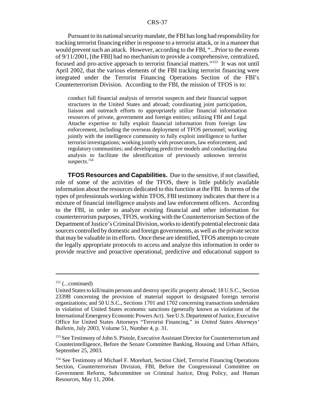Pursuant to its national security mandate, the FBI has long had responsibility for tracking terrorist financing either in response to a terrorist attack, or in a manner that would prevent such an attack. However, according to the FBI, "...Prior to the events of 9/11/2001, [the FBI] had no mechanism to provide a comprehensive, centralized, focused and pro-active approach to terrorist financial matters."<sup>153</sup> It was not until April 2002, that the various elements of the FBI tracking terrorist financing were integrated under the Terrorist Financing Operations Section of the FBI's Counterterrorism Division. According to the FBI, the mission of TFOS is to:

conduct full financial analysis of terrorist suspects and their financial support structures in the United States and abroad; coordinating joint participation, liaison and outreach efforts to appropriately utilize financial information resources of private, government and foreign entities; utilizing FBI and Legal Attache expertise to fully exploit financial information from foreign law enforcement, including the overseas deployment of TFOS personnel; working jointly with the intelligence community to fully exploit intelligence to further terrorist investigations; working jointly with prosecutors, law enforcement, and regulatory communities; and developing predictive models and conducting data analysis to facilitate the identification of previously unknown terrorist suspects.<sup>154</sup>

**TFOS Resources and Capabilities.** Due to the sensitive, if not classified, role of some of the activities of the TFOS, there is little publicly available information about the resources dedicated to this function at the FBI. In terms of the types of professionals working within TFOS, FBI testimony indicates that there is a mixture of financial intelligence analysts and law enforcement officers. According to the FBI, in order to analyze existing financial and other information for counterterrorism purposes, TFOS, working with the Counterterrorism Section of the Department of Justice's Criminal Division, works to identify potential electronic data sources controlled by domestic and foreign governments, as well as the private sector that may be valuable in its efforts. Once these are identified, TFOS attempts to create the legally appropriate protocols to access and analyze this information in order to provide reactive and proactive operational, predictive and educational support to

 $152$  (...continued)

United States to kill/maim persons and destroy specific property abroad; 18 U.S.C., Section 2339B concerning the provision of material support to designated foreign terrorist organizations; and 50 U.S.C., Sections 1701 and 1702 concerning transactions undertaken in violation of United States economic sanctions (generally known as violations of the International Emergency Economic Powers Act). See U.S. Department of Justice, Executive Office for United States Attorneys "Terrorist Financing," in *United States Attorneys' Bulletin*, July 2003, Volume 51, Number 4, p. 31.

<sup>&</sup>lt;sup>153</sup> See Testimony of John S. Pistole, Executive Assistant Director for Counterterrorism and Counterintelligence, Before the Senate Committee Banking, Housing and Urban Affairs, September 25, 2003.

<sup>&</sup>lt;sup>154</sup> See Testimony of Michael F. Morehart, Section Chief, Terrorist Financing Operations Section, Counterterrorism Division, FBI, Before the Congressional Committee on Government Reform, Subcommittee on Criminal Justice, Drug Policy, and Human Resources, May 11, 2004.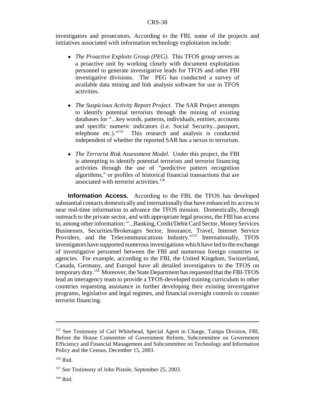investigators and prosecutors. According to the FBI, some of the projects and initiatives associated with information technology exploitation include:

- ! *The Proactive Exploits Group (PEG)*. This TFOS group serves as a proactive unit by working closely with document exploitation personnel to generate investigative leads for TFOS and other FBI investigative divisions. The PEG has conducted a survey of available data mining and link analysis software for use in TFOS activities.
- ! *The Suspicious Activity Report Project*. The SAR Project attempts to identify potential terrorists through the mining of existing databases for "...key words, patterns, individuals, entities, accounts and specific numeric indicators (i.e. Social Security...passport, telephone etc.)."155 This research and analysis is conducted independent of whether the reported SAR has a nexus to terrorism.
- ! *The Terrorist Risk Assessment Model*. Under this project, the FBI is attempting to identify potential terrorists and terrorist financing activities through the use of "predictive pattern recognition algorithms," or profiles of historical financial transactions that are associated with terrorist activities.<sup>156</sup>

**Information Access.** According to the FBI, the TFOS has developed substantial contacts domestically and internationally that have enhanced its access to near real-time information to advance the TFOS mission. Domestically, through outreach to the private sector, and with appropriate legal process, the FBI has access to, among other information: "...Banking, Credit/Debit Card Sector, Money Services Businesses, Securities/Brokerages Sector, Insurance, Travel, Internet Service Providers, and the Telecommunications Industry."<sup>157</sup> Internationally, TFOS investigators have supported numerous investigations which have led to the exchange of investigative personnel between the FBI and numerous foreign countries or agencies. For example, according to the FBI, the United Kingdom, Switzerland, Canada, Germany, and Europol have all detailed investigators to the TFOS on temporary duty.158 Moreover, the State Department has requested that the FBI-TFOS lead an interagency team to provide a TFOS-developed training curriculum to other countries requesting assistance in further developing their existing investigative programs, legislative and legal regimes, and financial oversight controls to counter terrorist financing.

<sup>155</sup> See Testimony of Carl Whitehead, Special Agent in Charge, Tampa Division, FBI, Before the House Committee of Government Reform, Subcommittee on Government Efficiency and Financial Management and Subcommittee on Technology and Information Policy and the Census, December 15, 2003.

<sup>156</sup> Ibid.

<sup>&</sup>lt;sup>157</sup> See Testimony of John Pistole, September 25, 2003.

 $158$  Ibid.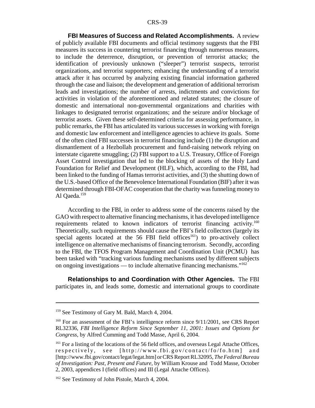**FBI Measures of Success and Related Accomplishments.** A review of publicly available FBI documents and official testimony suggests that the FBI measures its success in countering terrorist financing through numerous measures, to include the deterrence, disruption, or prevention of terrorist attacks; the identification of previously unknown ("sleeper") terrorist suspects, terrorist organizations, and terrorist supporters; enhancing the understanding of a terrorist attack after it has occurred by analyzing existing financial information gathered through the case and liaison; the development and generation of additional terrorism leads and investigations; the number of arrests, indictments and convictions for activities in violation of the aforementioned and related statutes; the closure of domestic and international non-governmental organizations and charities with linkages to designated terrorist organizations; and the seizure and/or blockage of terrorist assets. Given these self-determined criteria for assessing performance, in public remarks, the FBI has articulated its various successes in working with foreign and domestic law enforcement and intelligence agencies to achieve its goals. Some of the often cited FBI successes in terrorist financing include (1) the disruption and dismantlement of a Hezbollah procurement and fund-raising network relying on interstate cigarette smuggling; (2) FBI support to a U.S. Treasury, Office of Foreign Asset Control investigation that led to the blocking of assets of the Holy Land Foundation for Relief and Development (HLF), which, according to the FBI, had been linked to the funding of Hamas terrorist activities, and (3) the shutting down of the U.S.-based Office of the Benevolence International Foundation (BIF) after it was determined through FBI-OFAC cooperation that the charity was funneling money to Al Qaeda.<sup>159</sup>

According to the FBI, in order to address some of the concerns raised by the GAO with respect to alternative financing mechanisms, it has developed intelligence requirements related to known indicators of terrorist financing activity.<sup>160</sup> Theoretically, such requirements should cause the FBI's field collectors (largely its special agents located at the  $56$  FBI field offices<sup>161</sup>) to pro-actively collect intelligence on alternative mechanisms of financing terrorism. Secondly, according to the FBI, the TFOS Program Management and Coordination Unit (PCMU) has been tasked with "tracking various funding mechanisms used by different subjects on ongoing investigations — to include alternative financing mechanisms."162

**Relationships to and Coordination with Other Agencies.** The FBI participates in, and leads some, domestic and international groups to coordinate

<sup>159</sup> See Testimony of Gary M. Bald, March 4, 2004.

<sup>&</sup>lt;sup>160</sup> For an assessment of the FBI's intelligence reform since  $9/11/2001$ , see CRS Report RL32336, *FBI Intelligence Reform Since September 11, 2001: Issues and Options for Congress*, by Alfred Cumming and Todd Masse, April 6, 2004.

<sup>&</sup>lt;sup>161</sup> For a listing of the locations of the 56 field offices, and overseas Legal Attache Offices, respectively, see [http://www.fbi.gov/contact/fo/fo.htm] and [http://www.fbi.gov/contact/legat/legat.htm] or CRS Report RL32095, *The Federal Bureau of Investigation: Past, Present and Future*, by William Krouse and Todd Masse, October 2, 2003, appendices I (field offices) and III (Legal Attache Offices).

<sup>&</sup>lt;sup>162</sup> See Testimony of John Pistole, March 4, 2004.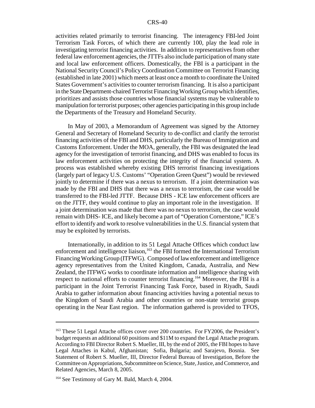activities related primarily to terrorist financing. The interagency FBI-led Joint Terrorism Task Forces, of which there are currently 100, play the lead role in investigating terrorist financing activities. In addition to representatives from other federal law enforcement agencies, the JTTFs also include participation of many state and local law enforcement officers. Domestically, the FBI is a participant in the National Security Council's Policy Coordination Committee on Terrorist Financing (established in late 2001) which meets at least once a month to coordinate the United States Government's activities to counter terrorism financing. It is also a participant in the State Department-chaired Terrorist Financing Working Group which identifies, prioritizes and assists those countries whose financial systems may be vulnerable to manipulation for terrorist purposes; other agencies participating in this group include the Departments of the Treasury and Homeland Security.

In May of 2003, a Memorandum of Agreement was signed by the Attorney General and Secretary of Homeland Security to de-conflict and clarify the terrorist financing activities of the FBI and DHS, particularly the Bureau of Immigration and Customs Enforcement. Under the MOA, generally, the FBI was designated the lead agency for the investigation of terrorist financing, and DHS was enabled to focus its law enforcement activities on protecting the integrity of the financial system. A process was established whereby existing DHS terrorist financing investigations (largely part of legacy U.S. Customs' "Operation Green Quest") would be reviewed jointly to determine if there was a nexus to terrorism. If a joint determination was made by the FBI and DHS that there was a nexus to terrorism, the case would be transferred to the FBI-led JTTF. Because DHS - ICE law enforcement officers are on the JTTF, they would continue to play an important role in the investigation. If a joint determination was made that there was no nexus to terrorism, the case would remain with DHS- ICE, and likely become a part of "Operation Cornerstone," ICE's effort to identify and work to resolve vulnerabilities in the U.S. financial system that may be exploited by terrorists.

Internationally, in addition to its 51 Legal Attache Offices which conduct law enforcement and intelligence liaison,<sup>163</sup> the FBI formed the International Terrorism Financing Working Group (ITFWG). Composed of law enforcement and intelligence agency representatives from the United Kingdom, Canada, Australia, and New Zealand, the ITFWG works to coordinate information and intelligence sharing with respect to national efforts to counter terrorist financing.<sup>164</sup> Moreover, the FBI is a participant in the Joint Terrorist Financing Task Force, based in Riyadh, Saudi Arabia to gather information about financing activities having a potential nexus to the Kingdom of Saudi Arabia and other countries or non-state terrorist groups operating in the Near East region. The information gathered is provided to TFOS,

<sup>&</sup>lt;sup>163</sup> These 51 Legal Attache offices cover over 200 countries. For FY2006, the President's budget requests an additional 60 positions and \$11M to expand the Legal Attache program. According to FBI Director Robert S. Mueller, III, by the end of 2005, the FBI hopes to have Legal Attaches in Kabul, Afghanistan; Sofia, Bulgaria; and Sarajevo, Bosnia. See Statement of Robert S. Mueller, III, Director Federal Bureau of Investigation, Before the Committee on Appropriations, Subcommittee on Science, State, Justice, and Commerce, and Related Agencies, March 8, 2005.

<sup>&</sup>lt;sup>164</sup> See Testimony of Gary M. Bald, March 4, 2004.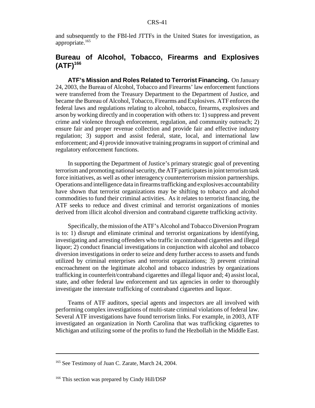and subsequently to the FBI-led JTTFs in the United States for investigation, as appropriate.<sup>165</sup>

### **Bureau of Alcohol, Tobacco, Firearms and Explosives (ATF)166**

**ATF's Mission and Roles Related to Terrorist Financing.** On January 24, 2003, the Bureau of Alcohol, Tobacco and Firearms' law enforcement functions were transferred from the Treasury Department to the Department of Justice, and became the Bureau of Alcohol, Tobacco, Firearms and Explosives. ATF enforces the federal laws and regulations relating to alcohol, tobacco, firearms, explosives and arson by working directly and in cooperation with others to: 1) suppress and prevent crime and violence through enforcement, regulation, and community outreach; 2) ensure fair and proper revenue collection and provide fair and effective industry regulation; 3) support and assist federal, state, local, and international law enforcement; and 4) provide innovative training programs in support of criminal and regulatory enforcement functions.

In supporting the Department of Justice's primary strategic goal of preventing terrorism and promoting national security, the ATF participates in joint terrorism task force initiatives, as well as other interagency counterterrorism mission partnerships. Operations and intelligence data in firearms trafficking and explosives accountability have shown that terrorist organizations may be shifting to tobacco and alcohol commodities to fund their criminal activities. As it relates to terrorist financing, the ATF seeks to reduce and divest criminal and terrorist organizations of monies derived from illicit alcohol diversion and contraband cigarette trafficking activity.

Specifically, the mission of the ATF's Alcohol and Tobacco Diversion Program is to: 1) disrupt and eliminate criminal and terrorist organizations by identifying, investigating and arresting offenders who traffic in contraband cigarettes and illegal liquor; 2) conduct financial investigations in conjunction with alcohol and tobacco diversion investigations in order to seize and deny further access to assets and funds utilized by criminal enterprises and terrorist organizations; 3) prevent criminal encroachment on the legitimate alcohol and tobacco industries by organizations trafficking in counterfeit/contraband cigarettes and illegal liquor and; 4) assist local, state, and other federal law enforcement and tax agencies in order to thoroughly investigate the interstate trafficking of contraband cigarettes and liquor.

Teams of ATF auditors, special agents and inspectors are all involved with performing complex investigations of multi-state criminal violations of federal law. Several ATF investigations have found terrorism links. For example, in 2003, ATF investigated an organization in North Carolina that was trafficking cigarettes to Michigan and utilizing some of the profits to fund the Hezbollah in the Middle East.

<sup>&</sup>lt;sup>165</sup> See Testimony of Juan C. Zarate, March 24, 2004.

<sup>&</sup>lt;sup>166</sup> This section was prepared by Cindy Hill/DSP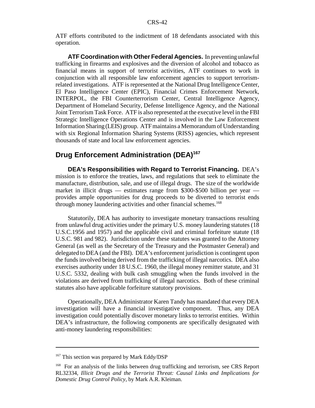ATF efforts contributed to the indictment of 18 defendants associated with this operation.

**ATF Coordination with Other Federal Agencies.** In preventing unlawful trafficking in firearms and explosives and the diversion of alcohol and tobacco as financial means in support of terrorist activities, ATF continues to work in conjunction with all responsible law enforcement agencies to support terrorismrelated investigations. ATF is represented at the National Drug Intelligence Center, El Paso Intelligence Center (EPIC), Financial Crimes Enforcement Network, INTERPOL, the FBI Counterterrorism Center, Central Intelligence Agency, Department of Homeland Security, Defense Intelligence Agency, and the National Joint Terrorism Task Force. ATF is also represented at the executive level in the FBI Strategic Intelligence Operations Center and is involved in the Law Enforcement Information Sharing (LEIS) group. ATF maintains a Memorandum of Understanding with six Regional Information Sharing Systems (RISS) agencies, which represent thousands of state and local law enforcement agencies.

## **Drug Enforcement Administration (DEA)<sup>167</sup>**

**DEA's Responsibilities with Regard to Terrorist Financing.** DEA's mission is to enforce the treaties, laws, and regulations that seek to eliminate the manufacture, distribution, sale, and use of illegal drugs. The size of the worldwide market in illicit drugs — estimates range from \$300-\$500 billion per year provides ample opportunities for drug proceeds to be diverted to terrorist ends through money laundering activities and other financial schemes.<sup>168</sup>

Statutorily, DEA has authority to investigate monetary transactions resulting from unlawful drug activities under the primary U.S. money laundering statutes (18 U.S.C.1956 and 1957) and the applicable civil and criminal forfeiture statute (18 U.S.C. 981 and 982). Jurisdiction under these statutes was granted to the Attorney General (as well as the Secretary of the Treasury and the Postmaster General) and delegated to DEA (and the FBI). DEA's enforcement jurisdiction is contingent upon the funds involved being derived from the trafficking of illegal narcotics. DEA also exercises authority under 18 U.S.C. 1960, the illegal money remitter statute, and 31 U.S.C. 5332, dealing with bulk cash smuggling when the funds involved in the violations are derived from trafficking of illegal narcotics. Both of these criminal statutes also have applicable forfeiture statutory provisions.

Operationally, DEA Administrator Karen Tandy has mandated that every DEA investigation will have a financial investigative component. Thus, any DEA investigation could potentially discover monetary links to terrorist entities. Within DEA's infrastructure, the following components are specifically designated with anti-money laundering responsibilities:

<sup>&</sup>lt;sup>167</sup> This section was prepared by Mark Eddy/DSP

<sup>&</sup>lt;sup>168</sup> For an analysis of the links between drug trafficking and terrorism, see CRS Report RL32334, *Illicit Drugs and the Terrorist Threat: Causal Links and Implications for Domestic Drug Control Policy*, by Mark A.R. Kleiman.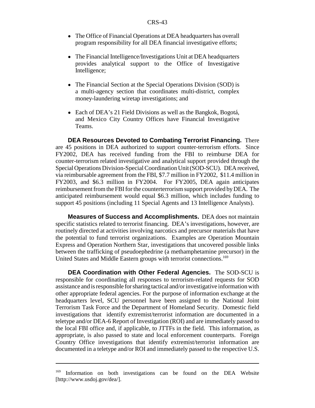- The Office of Financial Operations at DEA headquarters has overall program responsibility for all DEA financial investigative efforts;
- The Financial Intelligence/Investigations Unit at DEA headquarters provides analytical support to the Office of Investigative Intelligence;
- The Financial Section at the Special Operations Division (SOD) is a multi-agency section that coordinates multi-district, complex money-laundering wiretap investigations; and
- Each of DEA's 21 Field Divisions as well as the Bangkok, Bogotá, and Mexico City Country Offices have Financial Investigative Teams.

**DEA Resources Devoted to Combating Terrorist Financing.** There are 45 positions in DEA authorized to support counter-terrorism efforts. Since FY2002, DEA has received funding from the FBI to reimburse DEA for counter-terrorism related investigative and analytical support provided through the Special Operations Division-Special Coordination Unit (SOD-SCU). DEA received, via reimbursable agreement from the FBI, \$7.7 million in FY2002, \$11.4 million in FY2003, and \$6.3 million in FY2004. For FY2005, DEA again anticipates reimbursement from the FBI for the counterterrorism support provided by DEA. The anticipated reimbursement would equal \$6.3 million, which includes funding to support 45 positions (including 11 Special Agents and 13 Intelligence Analysts).

**Measures of Success and Accomplishments.** DEA does not maintain specific statistics related to terrorist financing. DEA's investigations, however, are routinely directed at activities involving narcotics and precursor materials that have the potential to fund terrorist organizations. Examples are Operation Mountain Express and Operation Northern Star, investigations that uncovered possible links between the trafficking of pseudoephedrine (a methamphetamine precursor) in the United States and Middle Eastern groups with terrorist connections.<sup>169</sup>

**DEA Coordination with Other Federal Agencies.** The SOD-SCU is responsible for coordinating all responses to terrorism-related requests for SOD assistance and is responsible for sharing tactical and/or investigative information with other appropriate federal agencies. For the purpose of information exchange at the headquarters level, SCU personnel have been assigned to the National Joint Terrorism Task Force and the Department of Homeland Security. Domestic field investigations that identify extremist/terrorist information are documented in a teletype and/or DEA-6 Report of Investigation (ROI) and are immediately passed to the local FBI office and, if applicable, to JTTFs in the field. This information, as appropriate, is also passed to state and local enforcement counterparts. Foreign Country Office investigations that identify extremist/terrorist information are documented in a teletype and/or ROI and immediately passed to the respective U.S.

<sup>&</sup>lt;sup>169</sup> Information on both investigations can be found on the DEA Website [http://www.usdoj.gov/dea/].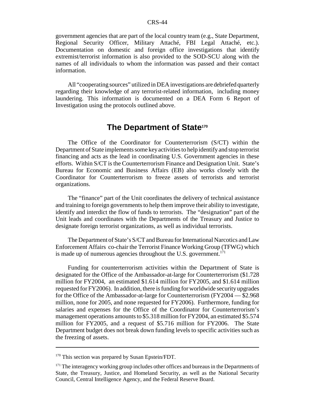government agencies that are part of the local country team (e.g., State Department, Regional Security Officer, Military Attaché, FBI Legal Attaché, etc.). Documentation on domestic and foreign office investigations that identify extremist/terrorist information is also provided to the SOD-SCU along with the names of all individuals to whom the information was passed and their contact information.

All "cooperating sources" utilized in DEA investigations are debriefed quarterly regarding their knowledge of any terrorist-related information, including money laundering. This information is documented on a DEA Form 6 Report of Investigation using the protocols outlined above.

### **The Department of State170**

The Office of the Coordinator for Counterterrorism (S/CT) within the Department of State implements some key activities to help identify and stop terrorist financing and acts as the lead in coordinating U.S. Government agencies in these efforts. Within S/CT is the Counterterrorism Finance and Designation Unit. State's Bureau for Economic and Business Affairs (EB) also works closely with the Coordinator for Counterterrorism to freeze assets of terrorists and terrorist organizations.

The "finance" part of the Unit coordinates the delivery of technical assistance and training to foreign governments to help them improve their ability to investigate, identify and interdict the flow of funds to terrorists. The "designation" part of the Unit leads and coordinates with the Departments of the Treasury and Justice to designate foreign terrorist organizations, as well as individual terrorists.

The Department of State's S/CT and Bureau for International Narcotics and Law Enforcement Affairs co-chair the Terrorist Finance Working Group (TFWG) which is made up of numerous agencies throughout the U.S. government.<sup>171</sup>

Funding for counterterrorism activities within the Department of State is designated for the Office of the Ambassador-at-large for Counterterrorism (\$1.728 million for FY2004, an estimated \$1.614 million for FY2005, and \$1.614 million requested for FY2006). In addition, there is funding for worldwide security upgrades for the Office of the Ambassador-at-large for Counterterrorism (FY2004 — \$2.968 million, none for 2005, and none requested for FY2006). Furthermore, funding for salaries and expenses for the Office of the Coordinator for Counterterrorism's management operations amounts to \$5.318 million for FY2004, an estimated \$5.574 million for FY2005, and a request of \$5.716 million for FY2006. The State Department budget does not break down funding levels to specific activities such as the freezing of assets.

<sup>&</sup>lt;sup>170</sup> This section was prepared by Susan Epstein/FDT.

<sup>&</sup>lt;sup>171</sup> The interagency working group includes other offices and bureaus in the Departments of State, the Treasury, Justice, and Homeland Security, as well as the National Security Council, Central Intelligence Agency, and the Federal Reserve Board.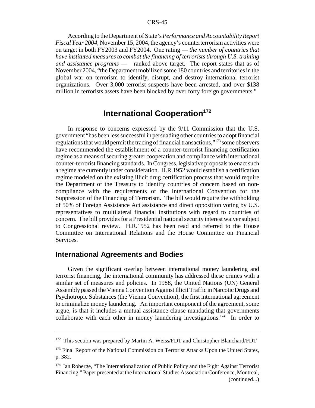According to the Department of State's *Performance and Accountability Report Fiscal Year 2004,* November 15, 2004, the agency's counterterrorism activities were on target in both FY2003 and FY2004. One rating — *the number of countries that have instituted measures to combat the financing of terrorists through U.S. training and assistance programs —* ranked above target. The report states that as of November 2004, "the Department mobilized some 180 countries and territories in the global war on terrorism to identify, disrupt, and destroy international terrorist organizations. Over 3,000 terrorist suspects have been arrested, and over \$138 million in terrorists assets have been blocked by over forty foreign governments."

## **International Cooperation**<sup>172</sup>

In response to concerns expressed by the 9/11 Commission that the U.S. government "has been less successful in persuading other countries to adopt financial regulations that would permit the tracing of financial transactions,"173 some observers have recommended the establishment of a counter-terrorist financing certification regime as a means of securing greater cooperation and compliance with international counter-terrorist financing standards. In Congress, legislative proposals to enact such a regime are currently under consideration. H.R.1952 would establish a certification regime modeled on the existing illicit drug certification process that would require the Department of the Treasury to identify countries of concern based on noncompliance with the requirements of the International Convention for the Suppression of the Financing of Terrorism. The bill would require the withholding of 50% of Foreign Assistance Act assistance and direct opposition voting by U.S. representatives to multilateral financial institutions with regard to countries of concern. The bill provides for a Presidential national security interest waiver subject to Congressional review. H.R.1952 has been read and referred to the House Committee on International Relations and the House Committee on Financial Services.

#### **International Agreements and Bodies**

Given the significant overlap between international money laundering and terrorist financing, the international community has addressed these crimes with a similar set of measures and policies. In 1988, the United Nations (UN) General Assembly passed the Vienna Convention Against Illicit Traffic in Narcotic Drugs and Psychotropic Substances (the Vienna Convention), the first international agreement to criminalize money laundering. An important component of the agreement, some argue, is that it includes a mutual assistance clause mandating that governments collaborate with each other in money laundering investigations.<sup>174</sup> In order to

<sup>&</sup>lt;sup>172</sup> This section was prepared by Martin A. Weiss/FDT and Christopher Blanchard/FDT

<sup>&</sup>lt;sup>173</sup> Final Report of the National Commission on Terrorist Attacks Upon the United States, p. 382.

<sup>&</sup>lt;sup>174</sup> Ian Roberge, "The Internationalization of Public Policy and the Fight Against Terrorist Financing," Paper presented at the International Studies Association Conference, Montreal, (continued...)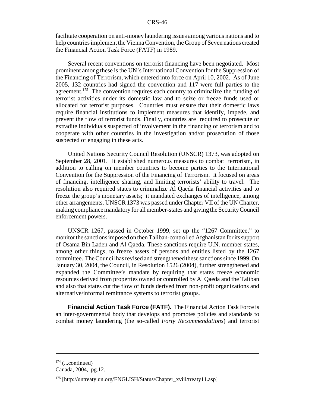facilitate cooperation on anti-money laundering issues among various nations and to help countries implement the Vienna Convention, the Group of Seven nations created the Financial Action Task Force (FATF) in 1989.

Several recent conventions on terrorist financing have been negotiated. Most prominent among these is the UN's International Convention for the Suppression of the Financing of Terrorism, which entered into force on April 10, 2002. As of June 2005, 132 countries had signed the convention and 117 were full parties to the agreement.<sup>175</sup> The convention requires each country to criminalize the funding of terrorist activities under its domestic law and to seize or freeze funds used or allocated for terrorist purposes. Countries must ensure that their domestic laws require financial institutions to implement measures that identify, impede, and prevent the flow of terrorist funds. Finally, countries are required to prosecute or extradite individuals suspected of involvement in the financing of terrorism and to cooperate with other countries in the investigation and/or prosecution of those suspected of engaging in these acts.

United Nations Security Council Resolution (UNSCR) 1373, was adopted on September 28, 2001. It established numerous measures to combat terrorism, in addition to calling on member countries to become parties to the International Convention for the Suppression of the Financing of Terrorism. It focused on areas of financing, intelligence sharing, and limiting terrorists' ability to travel. The resolution also required states to criminalize Al Qaeda financial activities and to freeze the group's monetary assets; it mandated exchanges of intelligence, among other arrangements. UNSCR 1373 was passed under Chapter VII of the UN Charter, making compliance mandatory for all member-states and giving the Security Council enforcement powers.

UNSCR 1267, passed in October 1999, set up the "1267 Committee," to monitor the sanctions imposed on then Taliban-controlled Afghanistan for its support of Osama Bin Laden and Al Qaeda. These sanctions require U.N. member states, among other things, to freeze assets of persons and entities listed by the 1267 committee. The Council has revised and strengthened these sanctions since 1999. On January 30, 2004, the Council, in Resolution 1526 (2004), further strengthened and expanded the Committee's mandate by requiring that states freeze economic resources derived from properties owned or controlled by Al Qaeda and the Taliban and also that states cut the flow of funds derived from non-profit organizations and alternative/informal remittance systems to terrorist groups.

**Financial Action Task Force (FATF).** The Financial Action Task Force is an inter-governmental body that develops and promotes policies and standards to combat money laundering (the so-called *Forty Recommendations*) and terrorist

 $174$  (...continued)

Canada, 2004, pg.12.

<sup>175 [</sup>http://untreaty.un.org/ENGLISH/Status/Chapter\_xviii/treaty11.asp]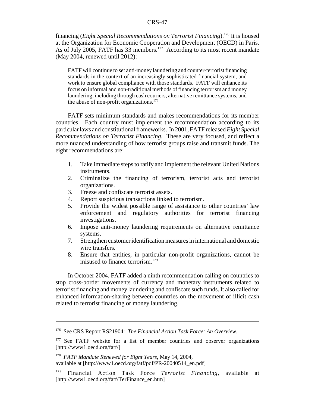financing (*Eight Special Recommendations on Terrorist Financing*).176 It is housed at the Organization for Economic Cooperation and Development (OECD) in Paris. As of July 2005, FATF has 33 members.<sup>177</sup> According to its most recent mandate (May 2004, renewed until 2012):

FATF will continue to set anti-money laundering and counter-terrorist financing standards in the context of an increasingly sophisticated financial system, and work to ensure global compliance with those standards. FATF will enhance its focus on informal and non-traditional methods of financing terrorism and money laundering, including through cash couriers, alternative remittance systems, and the abuse of non-profit organizations. $178$ 

FATF sets minimum standards and makes recommendations for its member countries. Each country must implement the recommendation according to its particular laws and constitutional frameworks. In 2001, FATF released *Eight Special Recommendations on Terrorist Financing*. These are very focused, and reflect a more nuanced understanding of how terrorist groups raise and transmit funds. The eight recommendations are:

- 1. Take immediate steps to ratify and implement the relevant United Nations instruments.
- 2. Criminalize the financing of terrorism, terrorist acts and terrorist organizations.
- 3. Freeze and confiscate terrorist assets.
- 4. Report suspicious transactions linked to terrorism.
- 5. Provide the widest possible range of assistance to other countries' law enforcement and regulatory authorities for terrorist financing investigations.
- 6. Impose anti-money laundering requirements on alternative remittance systems.
- 7. Strengthen customer identification measures in international and domestic wire transfers.
- 8. Ensure that entities, in particular non-profit organizations, cannot be misused to finance terrorism.179

In October 2004, FATF added a ninth recommendation calling on countries to stop cross-border movements of currency and monetary instruments related to terrorist financing and money laundering and confiscate such funds. It also called for enhanced information-sharing between countries on the movement of illicit cash related to terrorist financing or money laundering.

<sup>176</sup> See CRS Report RS21904: *The Financial Action Task Force: An Overview.*

<sup>&</sup>lt;sup>177</sup> See FATF website for a list of member countries and observer organizations [http://www1.oecd.org/fatf/]

<sup>178</sup> *FATF Mandate Renewed for Eight Years*, May 14, 2004, available at [http://www1.oecd.org/fatf/pdf/PR-20040514\_en.pdf]

<sup>179</sup> Financial Action Task Force *Terrorist Financing*, available at [http://www1.oecd.org/fatf/TerFinance\_en.htm]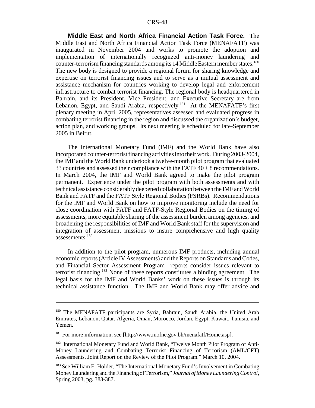**Middle East and North Africa Financial Action Task Force.** The Middle East and North Africa Financial Action Task Force (MENAFATF) was inaugurated in November 2004 and works to promote the adoption and implementation of internationally recognized anti-money laundering and counter-terrorism financing standards among its 14 Middle Eastern member states.<sup>180</sup> The new body is designed to provide a regional forum for sharing knowledge and expertise on terrorist financing issues and to serve as a mutual assessment and assistance mechanism for countries working to develop legal and enforcement infrastructure to combat terrorist financing. The regional body is headquartered in Bahrain, and its President, Vice President, and Executive Secretary are from Lebanon, Egypt, and Saudi Arabia, respectively.<sup>181</sup> At the MENAFATF's first plenary meeting in April 2005, representatives assessed and evaluated progress in combating terrorist financing in the region and discussed the organization's budget, action plan, and working groups. Its next meeting is scheduled for late-September 2005 in Beirut.

The International Monetary Fund (IMF) and the World Bank have also incorporated counter-terrorist financing activities into their work. During 2003-2004, the IMF and the World Bank undertook a twelve-month pilot program that evaluated 33 countries and assessed their compliance with the FATF 40 + 8 recommendations. In March 2004, the IMF and World Bank agreed to make the pilot program permanent. Experience under the pilot program with both assessments and with technical assistance considerably deepened collaboration between the IMF and World Bank and FATF and the FATF Style Regional Bodies (FSRBs). Recommendations for the IMF and World Bank on how to improve monitoring include the need for close coordination with FATF and FATF-Style Regional Bodies on the timing of assessments, more equitable sharing of the assessment burden among agencies, and broadening the responsibilities of IMF and World Bank staff for the supervision and integration of assessment missions to insure comprehensive and high quality assessments.182

In addition to the pilot program, numerous IMF products, including annual economic reports (Article IV Assessments) and the Reports on Standards and Codes, and Financial Sector Assessment Program reports consider issues relevant to terrorist financing.183 None of these reports constitutes a binding agreement. The legal basis for the IMF and World Banks' work on these issues is through its technical assistance function. The IMF and World Bank may offer advice and

<sup>180</sup> The MENAFATF participants are Syria, Bahrain, Saudi Arabia, the United Arab Emirates, Lebanon, Qatar, Algeria, Oman, Morocco, Jordan, Egypt, Kuwait, Tunisia, and Yemen.

<sup>&</sup>lt;sup>181</sup> For more information, see [http://www.mofne.gov.bh/menafatf/Home.asp].

<sup>&</sup>lt;sup>182</sup> International Monetary Fund and World Bank, "Twelve Month Pilot Program of Anti-Money Laundering and Combating Terrorist Financing of Terrorism (AML/CFT) Assessments, Joint Report on the Review of the Pilot Program." March 10, 2004.

<sup>&</sup>lt;sup>183</sup> See William E. Holder, "The International Monetary Fund's Involvement in Combating Money Laundering and the Financing of Terrorism," *Journal of Money Laundering Control*, Spring 2003, pg. 383-387.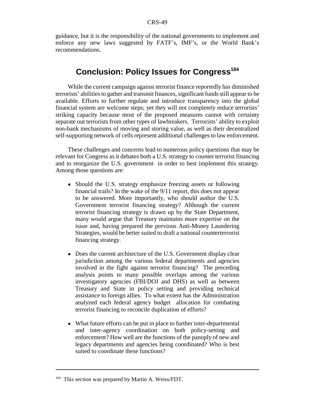guidance, but it is the responsibility of the national governments to implement and enforce any new laws suggested by FATF's, IMF's, or the World Bank's recommendations.

## **Conclusion: Policy Issues for Congress<sup>184</sup>**

While the current campaign against terrorist finance reportedly has diminished terrorists' abilities to gather and transmit finances, significant funds still appear to be available. Efforts to further regulate and introduce transparency into the global financial system are welcome steps; yet they will not completely reduce terrorists' striking capacity because most of the proposed measures cannot with certainty separate out terrorists from other types of lawbreakers. Terrorists' ability to exploit non-bank mechanisms of moving and storing value, as well as their decentralized self-supporting network of cells represent additional challenges to law enforcement.

These challenges and concerns lead to numerous policy questions that may be relevant for Congress as it debates both a U.S. strategy to counter terrorist financing and to reorganize the U.S. government in order to best implement this strategy. Among those questions are:

- Should the U.S. strategy emphasize freezing assets or following financial trails? In the wake of the 9/11 report, this does not appear to be answered. More importantly, who should author the U.S. Government terrorist financing strategy? Although the current terrorist financing strategy is drawn up by the State Department, many would argue that Treasury maintains more expertise on the issue and, having prepared the previous Anti-Money Laundering Strategies, would be better suited to draft a national counterterrorist financing strategy.
- Does the current architecture of the U.S. Government display clear jurisdiction among the various federal departments and agencies involved in the fight against terrorist financing? The preceding analysis points to many possible overlaps among the various investigatory agencies (FBI/DOJ and DHS) as well as between Treasury and State in policy setting and providing technical assistance to foreign allies. To what extent has the Administration analyzed each federal agency budget allocation for combating terrorist financing to reconcile duplication of efforts?
- What future efforts can be put in place to further inter-departmental and inter-agency coordination on both policy-setting and enforcement? How well are the functions of the panoply of new and legacy departments and agencies being coordinated? Who is best suited to coordinate these functions?

<sup>&</sup>lt;sup>184</sup> This section was prepared by Martin A. Weiss/FDT.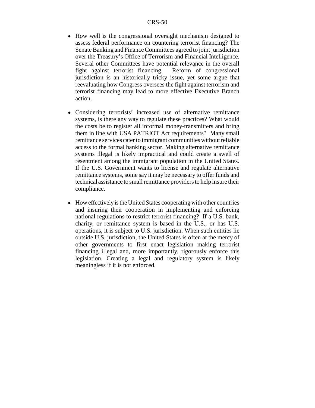- How well is the congressional oversight mechanism designed to assess federal performance on countering terrorist financing? The Senate Banking and Finance Committees agreed to joint jurisdiction over the Treasury's Office of Terrorism and Financial Intelligence. Several other Committees have potential relevance in the overall fight against terrorist financing. Reform of congressional jurisdiction is an historically tricky issue, yet some argue that reevaluating how Congress oversees the fight against terrorism and terrorist financing may lead to more effective Executive Branch action.
- ! Considering terrorists' increased use of alternative remittance systems, is there any way to regulate these practices? What would the costs be to register all informal money-transmitters and bring them in line with USA PATRIOT Act requirements? Many small remittance services cater to immigrant communities without reliable access to the formal banking sector. Making alternative remittance systems illegal is likely impractical and could create a swell of resentment among the immigrant population in the United States. If the U.S. Government wants to license and regulate alternative remittance systems, some say it may be necessary to offer funds and technical assistance to small remittance providers to help insure their compliance.
- How effectively is the United States cooperating with other countries and insuring their cooperation in implementing and enforcing national regulations to restrict terrorist financing? If a U.S. bank, charity, or remittance system is based in the U.S., or has U.S. operations, it is subject to U.S. jurisdiction. When such entities lie outside U.S. jurisdiction, the United States is often at the mercy of other governments to first enact legislation making terrorist financing illegal and, more importantly, rigorously enforce this legislation. Creating a legal and regulatory system is likely meaningless if it is not enforced.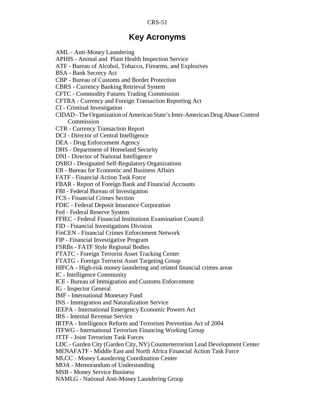## **Key Acronyms**

AML - Anti-Money Laundering APHIS - Animal and Plant Health Inspection Service ATF - Bureau of Alcohol, Tobacco, Firearms, and Explosives BSA - Bank Secrecy Act CBP - Bureau of Customs and Border Protection CBRS - Currency Banking Retrieval System CFTC - Commodity Futures Trading Commission CFTRA - Currency and Foreign Transaction Reporting Act CI - Criminal Investigation CIDAD - The Organization of American State's Inter-American Drug Abuse Control Commission CTR - Currency Transaction Report DCI - Director of Central Intelligence DEA - Drug Enforcement Agency DHS - Department of Homeland Security DNI - Director of National Intelligence DSRO - Designated Self-Regulatory Organizations EB - Bureau for Economic and Business Affairs FATF - Financial Action Task Force FBAR - Report of Foreign Bank and Financial Accounts FBI - Federal Bureau of Investigation FCS - Financial Crimes Section FDIC - Federal Deposit Insurance Corporation Fed - Federal Reserve System FFIEC - Federal Financial Institutions Examination Council FID - Financial Investigations Division FinCEN - Financial Crimes Enforcement Network FIP - Financial Investigative Program FSRBs - FATF Style Regional Bodies FTATC - Foreign Terrorist Asset Tracking Center FTATG - Foreign Terrorist Asset Targeting Group HIFCA - High-risk money laundering and related financial crimes areas IC - Intelligence Community ICE - Bureau of Immigration and Customs Enforcement IG - Inspector General IMF - International Monetary Fund INS - Immigration and Naturalization Service IEEPA - International Emergency Economic Powers Act IRS - Internal Revenue Service IRTPA - Intelligence Reform and Terrorism Prevention Act of 2004 ITFWG - International Terrorism Financing Working Group JTTF - Joint Terrorism Task Forces LDC - Garden City (Garden City, NY) Counterterrorism Lead Development Center MENAFATF - Middle East and North Africa Financial Action Task Force MLCC - Money Laundering Coordination Center MOA - Memorandum of Understanding MSB - Money Service Business NAMLG - National Anti-Money Laundering Group